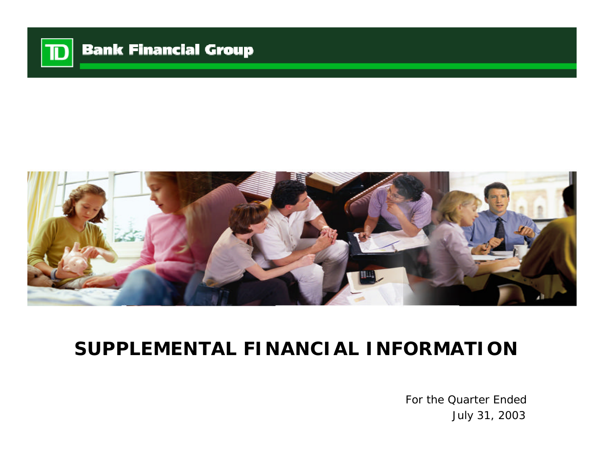



# **SUPPLEMENTAL FINANCIAL INFORMATION**

For the Quarter Ended July 31, 2003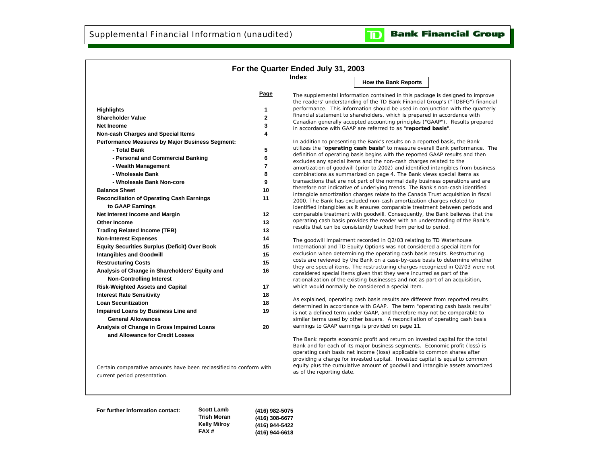

|                                                      |                         | Index<br><b>How the Bank Reports</b>                                                                                                                             |  |
|------------------------------------------------------|-------------------------|------------------------------------------------------------------------------------------------------------------------------------------------------------------|--|
|                                                      | Page                    |                                                                                                                                                                  |  |
|                                                      |                         | The supplemental information contained in this package is designed to improve<br>the readers' understanding of the TD Bank Financial Group's ("TDBFG") financial |  |
| <b>Highlights</b>                                    | 1                       | performance. This information should be used in conjunction with the quarterly                                                                                   |  |
| <b>Shareholder Value</b>                             | $\mathbf 2$             | financial statement to shareholders, which is prepared in accordance with                                                                                        |  |
| <b>Net Income</b>                                    | 3                       | Canadian generally accepted accounting principles ("GAAP"). Results prepared                                                                                     |  |
| <b>Non-cash Charges and Special Items</b>            | 4                       | in accordance with GAAP are referred to as "reported basis".                                                                                                     |  |
| Performance Measures by Major Business Segment:      |                         | In addition to presenting the Bank's results on a reported basis, the Bank                                                                                       |  |
| - Total Bank                                         | 5                       | utilizes the "operating cash basis" to measure overall Bank performance. The                                                                                     |  |
| - Personal and Commercial Banking                    | 6                       | definition of operating basis begins with the reported GAAP results and then                                                                                     |  |
| - Wealth Management                                  | $\overline{\mathbf{r}}$ | excludes any special items and the non-cash charges related to the                                                                                               |  |
| - Wholesale Bank                                     |                         | amortization of goodwill (prior to 2002) and identified intangibles from business                                                                                |  |
|                                                      | 8                       | combinations as summarized on page 4. The Bank views special items as<br>transactions that are not part of the normal daily business operations and are          |  |
| - Wholesale Bank Non-core                            | 9                       | therefore not indicative of underlying trends. The Bank's non-cash identified                                                                                    |  |
| <b>Balance Sheet</b>                                 | 10                      | intangible amortization charges relate to the Canada Trust acquisition in fiscal                                                                                 |  |
| <b>Reconciliation of Operating Cash Earnings</b>     | 11                      | 2000. The Bank has excluded non-cash amortization charges related to                                                                                             |  |
| to GAAP Earnings                                     |                         | identified intangibles as it ensures comparable treatment between periods and                                                                                    |  |
| Net Interest Income and Margin                       | 12                      | comparable treatment with goodwill. Consequently, the Bank believes that the<br>operating cash basis provides the reader with an understanding of the Bank's     |  |
| <b>Other Income</b>                                  | 13                      | results that can be consistently tracked from period to period.                                                                                                  |  |
| <b>Trading Related Income (TEB)</b>                  | 13                      |                                                                                                                                                                  |  |
| <b>Non-Interest Expenses</b>                         | 14                      | The goodwill impairment recorded in Q2/03 relating to TD Waterhouse                                                                                              |  |
| <b>Equity Securities Surplus (Deficit) Over Book</b> | 15                      | International and TD Equity Options was not considered a special item for                                                                                        |  |
| <b>Intangibles and Goodwill</b>                      | 15                      | exclusion when determining the operating cash basis results. Restructuring<br>costs are reviewed by the Bank on a case-by-case basis to determine whether        |  |
| <b>Restructuring Costs</b>                           | 15                      | they are special items. The restructuring charges recognized in Q2/03 were not                                                                                   |  |
| Analysis of Change in Shareholders' Equity and       | 16                      | considered special items given that they were incurred as part of the                                                                                            |  |
| <b>Non-Controlling Interest</b>                      |                         | rationalization of the existing businesses and not as part of an acquisition,                                                                                    |  |
| <b>Risk-Weighted Assets and Capital</b>              | 17                      | which would normally be considered a special item.                                                                                                               |  |
| <b>Interest Rate Sensitivity</b>                     | 18                      |                                                                                                                                                                  |  |
| <b>Loan Securitization</b>                           | 18                      | As explained, operating cash basis results are different from reported results<br>determined in accordance with GAAP. The term "operating cash basis results"    |  |
| Impaired Loans by Business Line and                  | 19                      | is not a defined term under GAAP, and therefore may not be comparable to                                                                                         |  |
| <b>General Allowances</b>                            |                         | similar terms used by other issuers. A reconciliation of operating cash basis                                                                                    |  |
| Analysis of Change in Gross Impaired Loans           | 20                      | earnings to GAAP earnings is provided on page 11.                                                                                                                |  |
| and Allowance for Credit Losses                      |                         | The Bank reports economic profit and return on invested capital for the total                                                                                    |  |
|                                                      |                         | Bank and for each of its major business segments. Economic profit (loss) is<br>operating cash basis net income (loss) applicable to common shares after          |  |

Certain comparative amounts have been reclassified to conform with current period presentation.

providing a charge for invested capital. Invested capital is equal to common equity plus the cumulative amount of goodwill and intangible assets amortized as of the reporting date.

**For further information contact: Scott Lamb**

**Trish Moran Kelly Milroy FAX # (416) 982-5075 (416) 308-6677 (416) 944-5422 (416) 944-6618**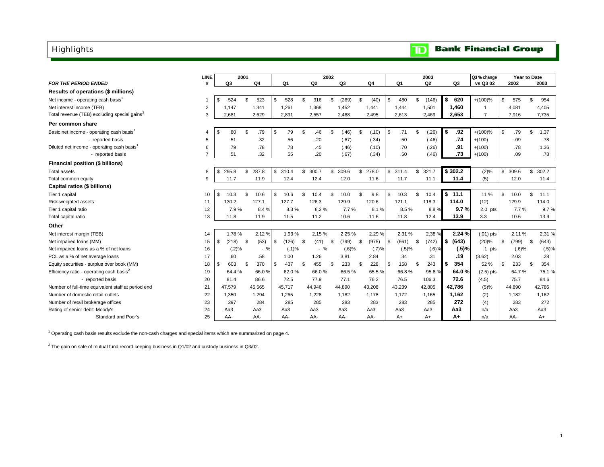#### <span id="page-2-0"></span>Highlights

### **TD** Bank Financial Group

|                                                          | <b>LINE</b>    | 2001        |     |        |         |        |      |        | 2002 |        |                  |              |        | 2003           |         |        | Q3 % change    | Year to Date |      |        |
|----------------------------------------------------------|----------------|-------------|-----|--------|---------|--------|------|--------|------|--------|------------------|--------------|--------|----------------|---------|--------|----------------|--------------|------|--------|
| <b>FOR THE PERIOD ENDED</b>                              | #              | Q3          |     | Q4     |         | Q1     |      | Q2     |      | Q3     | Q4               |              | Q1     | Q <sub>2</sub> | Q3      |        | vs Q3 02       | 2002         |      | 2003   |
| Results of operations (\$ millions)                      |                |             |     |        |         |        |      |        |      |        |                  |              |        |                |         |        |                |              |      |        |
| Net income - operating cash basis <sup>1</sup>           |                | \$<br>524   | . ፍ | 523    | \$      | 528    | \$.  | 316    | \$   | (269)  | \$<br>(40)       | \$           | 480    | \$<br>(146)    | \$      | 620    | $+(100)%$      | \$<br>575    | \$   | 954    |
| Net interest income (TEB)                                | $\overline{2}$ | 1.147       |     | 1,341  |         | 1,261  |      | 1,368  |      | 1,452  | 1,441            |              | 1,444  | 1,501          | 1,460   |        | -1             | 4,081        |      | 4,405  |
| Total revenue (TEB) excluding special gains <sup>2</sup> | 3              | 2,681       |     | 2.629  |         | 2.891  |      | 2,557  |      | 2,468  | 2,495            |              | 2,613  | 2,469          | 2.653   |        | $\overline{7}$ | 7,916        |      | 7,735  |
| Per common share                                         |                |             |     |        |         |        |      |        |      |        |                  |              |        |                |         |        |                |              |      |        |
| Basic net income - operating cash basis <sup>1</sup>     | 4              | \$<br>.80   | \$  | .79    | \$      | .79    | \$   | .46    | \$.  | (.46)  | \$<br>(.10)      | \$           | .71    | \$<br>(.26)    | l \$    | .92    | $+(100)%$      | \$<br>.79    | \$   | 1.37   |
| - reported basis                                         | 5              | .51         |     | .32    |         | .56    |      | .20    |      | (.67)  | (.34)            |              | .50    | (.46)          |         | .74    | $+(100)$       | .09          |      | .78    |
| Diluted net income - operating cash basis <sup>1</sup>   | 6              | .79         |     | .78    |         | .78    |      | .45    |      | (.46)  | (.10)            |              | .70    | (.26)          |         | .91    | $+(100)$       | .78          |      | 1.36   |
| - reported basis                                         |                | .51         |     | .32    |         | .55    |      | .20    |      | (.67)  | (.34)            |              | .50    | (.46)          |         | .73    | $+(100)$       | .09          |      | .78    |
| Financial position (\$ billions)                         |                |             |     |        |         |        |      |        |      |        |                  |              |        |                |         |        |                |              |      |        |
| <b>Total assets</b>                                      | 8              | \$<br>295.8 | \$  | 287.8  | \$310.4 |        | \$   | 300.7  | \$   | 309.6  | \$278.0          | $\mathbb{S}$ | 311.4  | \$321.7        | \$302.2 |        | (2)%           | \$<br>309.6  | \$   | 302.2  |
| Total common equity                                      | 9              | 11.7        |     | 11.9   |         | 12.4   |      | 12.4   |      | 12.0   | 11.6             |              | 11.7   | 11.1           |         | 11.4   | (5)            | 12.0         |      | 11.4   |
| Capital ratios (\$ billions)                             |                |             |     |        |         |        |      |        |      |        |                  |              |        |                |         |        |                |              |      |        |
| Tier 1 capital                                           | 10             | \$<br>10.3  | \$  | 10.6   | \$      | 10.6   | \$   | 10.4   | \$   | 10.0   | \$<br>9.8        | \$           | 10.3   | \$<br>10.4     | \$      | 11.1   | 11 %           | \$<br>10.0   | \$   | 11.1   |
| Risk-weighted assets                                     | 11             | 130.2       |     | 127.1  |         | 127.7  |      | 126.3  |      | 129.9  | 120.6            |              | 121.1  | 118.3          | 114.0   |        | (12)           | 129.9        |      | 114.0  |
| Tier 1 capital ratio                                     | 12             | 7.9%        |     | 8.4%   |         | 8.3%   |      | 8.2%   |      | 7.7%   | 8.1%             |              | 8.5%   | 8.8%           |         | 9.7%   | $2.0$ pts      | 7.7%         |      | 9.7%   |
| Total capital ratio                                      | 13             | 11.8        |     | 11.9   |         | 11.5   |      | 11.2   |      | 10.6   | 11.6             |              | 11.8   | 12.4           |         | 13.9   | 3.3            | 10.6         |      | 13.9   |
| Other                                                    |                |             |     |        |         |        |      |        |      |        |                  |              |        |                |         |        |                |              |      |        |
| Net interest margin (TEB)                                | 14             | 1.78%       |     | 2.12%  |         | 1.93%  |      | 2.15%  |      | 2.25 % | 2.29 %           |              | 2.31 % | 2.38 %         |         | 2.24 % | $(.01)$ pts    | 2.11%        |      | 2.31 % |
| Net impaired loans (MM)                                  | 15             | \$<br>(218) | \$  | (53)   | \$      | (126)  | - \$ | (41)   | - \$ | (799)  | \$<br>$(975)$ \$ |              | (661)  | \$<br>(742)    | l \$    | (643)  | (20)%          | \$<br>(799)  | - \$ | (643)  |
| Net impaired loans as a % of net loans                   | 16             | (.2)%       |     | $-$ %  |         | (.1)%  |      | $-$ %  |      | (.6)%  | (.7)%            |              | (.5)%  | (.6)%          |         | (.5)%  | $.1$ pts       | (.6)%        |      | (.5)%  |
| PCL as a % of net average loans                          | 17             | .60         |     | .58    |         | 1.00   |      | 1.26   |      | 3.81   | 2.84             |              | .34    | .31            |         | .19    | (3.62)         | 2.03         |      | .28    |
| Equity securities - surplus over book (MM)               | 18             | \$<br>603   | \$  | 370    | \$      | 437    | \$   | 455    | \$   | 233    | \$<br>228        | \$           | 158    | \$<br>243      | l \$    | 354    | 52 %           | \$<br>233    | \$   | 354    |
| Efficiency ratio - operating cash basis <sup>2</sup>     | 19             | 64.4 %      |     | 66.0%  |         | 62.0%  |      | 66.0%  |      | 66.5%  | 65.5 %           |              | 66.8%  | 95.8%          |         | 64.0%  | $(2.5)$ pts    | 64.7%        |      | 75.1%  |
| - reported basis                                         | 20             | 81.4        |     | 86.6   |         | 72.5   |      | 77.9   |      | 77.1   | 76.2             |              | 76.5   | 106.3          |         | 72.6   | (4.5)          | 75.7         |      | 84.6   |
| Number of full-time equivalent staff at period end       | 21             | 47,579      |     | 45,565 |         | 45.717 |      | 44,946 |      | 44,890 | 43,208           |              | 43,239 | 42,805         | 42,786  |        | (5)%           | 44,890       |      | 42,786 |
| Number of domestic retail outlets                        | 22             | 1,350       |     | 1,294  |         | 1.265  |      | 1,228  |      | 1,182  | 1,178            |              | 1,172  | 1,165          | 1.162   |        | (2)            | 1,182        |      | 1,162  |
| Number of retail brokerage offices                       | 23             | 297         |     | 284    |         | 285    |      | 285    |      | 283    | 283              |              | 283    | 285            |         | 272    | (4)            | 283          |      | 272    |
| Rating of senior debt: Moody's                           | 24             | Aa3         |     | Aa3    |         | Aa3    |      | АаЗ    |      | Aa3    | Aa3              |              | Aa3    | Aa3            | Aa3     |        | n/a            | Aa3          |      | Aa3    |
| Standard and Poor's                                      | 25             | AA-         |     | AA-    |         | AA-    |      | AA-    |      | AA-    | AA-              |              | $A+$   | $A+$           | $A+$    |        | n/a            | AA-          |      | $A+$   |

<sup>1</sup> Operating cash basis results exclude the non-cash charges and special items which are summarized on page 4.

 $^2$  The gain on sale of mutual fund record keeping business in Q1/02 and custody business in Q3/02.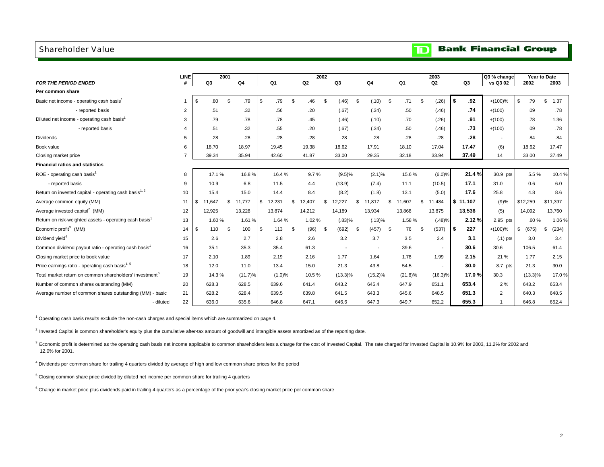#### <span id="page-3-0"></span>Shareholder Value

#### **TD** Bank Financial Group

|                                                                     | <b>LINE</b>    | 2001         |              |                |     |                | 2002     |                          |              |          |            |     | 2003                     |      |          | Q3 % change    |                       | Year to Date |
|---------------------------------------------------------------------|----------------|--------------|--------------|----------------|-----|----------------|----------|--------------------------|--------------|----------|------------|-----|--------------------------|------|----------|----------------|-----------------------|--------------|
| <b>FOR THE PERIOD ENDED</b>                                         | Ħ              | Q3           | Q4           | Q <sub>1</sub> |     | Q <sub>2</sub> |          | Q <sub>3</sub>           | Q4           |          | Q1         |     | Q <sub>2</sub>           |      | Q3       | vs Q3 02       | 2002                  | 2003         |
| Per common share                                                    |                |              |              |                |     |                |          |                          |              |          |            |     |                          |      |          |                |                       |              |
| Basic net income - operating cash basis <sup>1</sup>                |                | \$<br>.80    | \$<br>.79    | \$<br>.79      | \$  | .46            | <b>S</b> | (.46)                    | \$<br>(.10)  | \$       | .71        | \$  | (.26)                    | l \$ | .92      | $+(100)\%$     | .79<br>$\mathfrak{s}$ | \$<br>1.37   |
| - reported basis                                                    | 2              | .51          | .32          | .56            |     | .20            |          | (.67)                    | (.34)        |          | .50        |     | (.46)                    |      | .74      | $+(100)$       | .09                   | .78          |
| Diluted net income - operating cash basis                           | 3              | .79          | .78          | .78            |     | .45            |          | (.46)                    | (.10)        |          | .70        |     | (.26)                    |      | .91      | $+(100)$       | .78                   | 1.36         |
| - reported basis                                                    | $\overline{4}$ | .51          | .32          | .55            |     | .20            |          | (.67)                    | (.34)        |          | .50        |     | (.46)                    |      | .73      | $+(100)$       | .09                   | .78          |
| <b>Dividends</b>                                                    | 5              | .28          | .28          | .28            |     | .28            |          | .28                      | .28          |          | .28        |     | .28                      |      | .28      |                | .84                   | .84          |
| Book value                                                          | 6              | 18.70        | 18.97        | 19.45          |     | 19.38          |          | 18.62                    | 17.91        |          | 18.10      |     | 17.04                    |      | 17.47    | (6)            | 18.62                 | 17.47        |
| Closing market price                                                |                | 39.34        | 35.94        | 42.60          |     | 41.87          |          | 33.00                    | 29.35        |          | 32.18      |     | 33.94                    |      | 37.49    | 14             | 33.00                 | 37.49        |
| <b>Financial ratios and statistics</b>                              |                |              |              |                |     |                |          |                          |              |          |            |     |                          |      |          |                |                       |              |
| ROE - operating cash basis <sup>1</sup>                             | 8              | 17.1%        | 16.8%        | 16.4%          |     | 9.7%           |          | $(9.5)\%$                | (2.1)%       |          | 15.6%      |     | (6.0)%                   |      | 21.4%    | 30.9 pts       | 5.5%                  | 10.4%        |
| - reported basis                                                    | 9              | 10.9         | 6.8          | 11.5           |     | 4.4            |          | (13.9)                   | (7.4)        |          | 11.1       |     | (10.5)                   |      | 17.1     | 31.0           | 0.6                   | 6.0          |
| Return on invested capital - operating cash basis <sup>1, 2</sup>   | 10             | 15.4         | 15.0         | 14.4           |     | 8.4            |          | (8.2)                    | (1.8)        |          | 13.1       |     | (5.0)                    |      | 17.6     | 25.8           | 4.8                   | 8.6          |
| Average common equity (MM)                                          | 11             | \$<br>11,647 | \$<br>11,777 | \$<br>12,231   | \$. | 12,407         | \$.      | 12,227                   | \$<br>11,817 | \$       | 11,607     | \$. | 11,484                   |      | \$11,107 | (9)%           | \$12,259              | \$11,397     |
| Average invested capital <sup>2</sup> (MM)                          | 12             | 12.925       | 13.228       | 13,874         |     | 14,212         |          | 14.189                   | 13,934       |          | 13,868     |     | 13,875                   |      | 13,536   | (5)            | 14,092                | 13,760       |
| Return on risk-weighted assets - operating cash basis <sup>1</sup>  | 13             | 1.60%        | 1.61 %       | 1.64 %         |     | 1.02%          |          | (.83)%                   | (.13)%       |          | 1.58%      |     | $(.48)\%$                |      | 2.12%    | 2.95 pts       | .60%                  | 1.06%        |
| Economic profit <sup>3</sup> (MM)                                   | 14             | \$<br>110    | \$<br>100    | \$<br>113      | Ŝ.  | (96)           | \$       | (692)                    | \$<br>(457)  | <b>S</b> | 76         | -S  | (537)                    | l \$ | 227      | $+(100)\%$     | (675)<br>\$           | (234)<br>\$  |
| Dividend yield <sup>4</sup>                                         | 15             | 2.6          | 2.7          | 2.8            |     | 2.6            |          | 3.2                      | 3.7          |          | 3.5        |     | 3.4                      |      | 3.1      | $(.1)$ pts     | 3.0                   | 3.4          |
| Common dividend payout ratio - operating cash basis <sup>1</sup>    | 16             | 35.1         | 35.3         | 35.4           |     | 61.3           |          | $\overline{\phantom{a}}$ |              |          | 39.6       |     |                          |      | 30.6     | 30.6           | 106.5                 | 61.4         |
| Closing market price to book value                                  | 17             | 2.10         | 1.89         | 2.19           |     | 2.16           |          | 1.77                     | 1.64         |          | 1.78       |     | 1.99                     |      | 2.15     | 21 %           | 1.77                  | 2.15         |
| Price earnings ratio - operating cash basis <sup>1,5</sup>          | 18             | 12.0         | 11.0         | 13.4           |     | 15.0           |          | 21.3                     | 43.8         |          | 54.5       |     | $\overline{\phantom{a}}$ |      | 30.0     | 8.7 pts        | 21.3                  | 30.0         |
| Total market return on common shareholders' investment <sup>b</sup> | 19             | 14.3%        | $(11.7)\%$   | (1.0)%         |     | 10.5%          |          | $(13.3)\%$               | $(15.2)\%$   |          | $(21.8)\%$ |     | $(16.3)\%$               |      | 17.0%    | 30.3           | $(13.3)\%$            | 17.0%        |
| Number of common shares outstanding (MM)                            | 20             | 628.3        | 628.5        | 639.6          |     | 641.4          |          | 643.2                    | 645.4        |          | 647.9      |     | 651.1                    |      | 653.4    | 2%             | 643.2                 | 653.4        |
| Average number of common shares outstanding (MM) - basic            | 21             | 628.2        | 628.4        | 639.5          |     | 639.8          |          | 641.5                    | 643.3        |          | 645.6      |     | 648.5                    |      | 651.3    | $\overline{2}$ | 640.3                 | 648.5        |
| - diluted                                                           | 22             | 636.0        | 635.6        | 646.8          |     | 647.1          |          | 646.6                    | 647.3        |          | 649.7      |     | 652.2                    |      | 655.3    |                | 646.8                 | 652.4        |

 $1$  Operating cash basis results exclude the non-cash charges and special items which are summarized on page 4.

 $2$  Invested Capital is common shareholder's equity plus the cumulative after-tax amount of goodwill and intangible assets amortized as of the reporting date.

<sup>3</sup> Economic profit is determined as the operating cash basis net income applicable to common shareholders less a charge for the cost of Invested Capital. The rate charged for Invested Capital is 10.9% for 2003, 11.2% for 12.0% for 2001.

<sup>4</sup> Dividends per common share for trailing 4 quarters divided by average of high and low common share prices for the period

<sup>5</sup> Closing common share price divided by diluted net income per common share for trailing 4 quarters

 $^6$  Change in market price plus dividends paid in trailing 4 quarters as a percentage of the prior year's closing market price per common share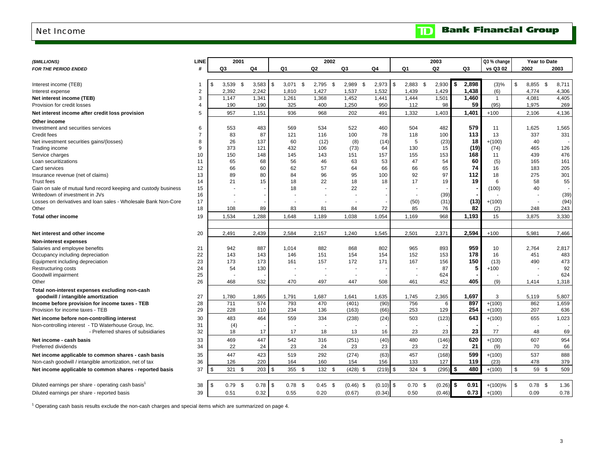#### <span id="page-4-0"></span>Net Income

|  | <b>Bank Financial Group</b> |  |
|--|-----------------------------|--|
|--|-----------------------------|--|

 $\blacksquare$ 

| (\$MILLIONS)                                                                         | <b>LINE</b> |           | 2001       |              |               |           |           | 2002           |             |            |                  | 2003          |               |             | Q3 % change  | Year to Date    |             |
|--------------------------------------------------------------------------------------|-------------|-----------|------------|--------------|---------------|-----------|-----------|----------------|-------------|------------|------------------|---------------|---------------|-------------|--------------|-----------------|-------------|
| <b>FOR THE PERIOD ENDED</b>                                                          | #           | Q3        |            | $\mathsf Q4$ | Q1            |           | Q2        | Q3             |             | Q4         | Q1               | Q2            |               | Q3          | vs Q3 02     | 2002            | 2003        |
|                                                                                      |             |           |            |              |               |           |           |                |             |            |                  |               |               |             |              |                 |             |
| Interest income (TEB)                                                                |             | \$        | $3,539$ \$ | 3,583        | 3,071<br>l \$ | \$        | 2,795     | -\$<br>2,989   | - \$        | 2,973      | \$<br>$2,883$ \$ | $2,930$ \$    |               | 2,898       | $(3)\%$      | \$<br>8,855     | \$<br>8,711 |
| Interest expense                                                                     | 2           | 2,392     |            | 2,242        | 1,810         |           | 1,427     | 1,537          |             | 1,532      | 1,439            | 1,429         |               | 1,438       | (6)          | 4,774           | 4,306       |
| Net interest income (TEB)                                                            | 3           | 1,147     |            | 1,341        | 1,261         |           | 1,368     | 1,452          |             | 1,441      | 1,444            | 1,501         |               | 1,460       | $\mathbf{1}$ | 4,081           | 4,405       |
| Provision for credit losses                                                          |             | 190       |            | 190          | 325           |           | 400       | 1,250          |             | 950        | 112              | 98            |               | 59          | (95)         | 1,975           | 269         |
| Net interest income after credit loss provision                                      | 5           | 957       |            | 1,151        | 936           |           | 968       | 202            |             | 491        | 1,332            | 1,403         |               | 1,401       | $+100$       | 2,106           | 4,136       |
|                                                                                      |             |           |            |              |               |           |           |                |             |            |                  |               |               |             |              |                 |             |
| Other income                                                                         | 6           |           |            |              |               |           |           |                |             |            |                  |               |               | 579         |              |                 |             |
| Investment and securities services                                                   |             |           | 553        | 483          | 569           |           | 534       | 522            |             | 460        | 504              | 482           |               | 113         | 11           | 1,625           | 1,565       |
| Credit fees                                                                          | 8           |           | 83<br>26   | 87           | 121           | 60        | 116       | 100            |             | 78         | 118<br>5         | 100           |               | 18          | 13           | 337<br>40       | 331         |
| Net investment securities gains/(losses)                                             |             |           |            | 137          |               |           | (12)      |                | (8)         | (14)       |                  | (23)          |               |             | $+(100)$     |                 |             |
| Trading income                                                                       | 9           |           | 373        | 121          | 432           |           | 106       | (73)           |             | 64         | 130              | 15            |               | (19)<br>168 | (74)         | 465             | 126         |
| Service charges                                                                      | 10          | 150       |            | 148          | 145           |           | 143       | 151            |             | 157        | 155              | 153           |               |             | 11           | 439             | 476         |
| Loan securitizations                                                                 | 11          |           | 65         | 68           |               | 56        | 46        | 63             |             | 53         | 47               | 54            |               | 60          | (5)          | 165             | 161         |
| Card services                                                                        | 12          |           | 66         | 60           |               | 62        | 57        | 64             |             | 66         | 66               | 65            |               | 74          | 16           | 183             | 205         |
| Insurance revenue (net of claims)                                                    | 13          |           | 89         | 80           |               | 84        | 96        |                | 95          | 100        | 92               | 97            |               | 112         | 18           | 275             | 301         |
| <b>Trust fees</b>                                                                    | 14          |           | 21         | 15           |               | 18        | 22        |                | 18          | 18         | 17               | 19            |               | 19          | 6            | 58              | 55          |
| Gain on sale of mutual fund record keeping and custody business                      | 15          |           |            |              |               | 18        |           |                | 22          |            |                  |               |               |             | (100)        | 40              |             |
| Writedown of investment in JVs                                                       | 16          |           |            |              |               |           |           |                |             |            |                  | (39)          |               |             |              |                 | (39)        |
| Losses on derivatives and loan sales - Wholesale Bank Non-Core                       | 17          |           |            |              |               |           |           |                |             |            | (50)             | (31)          |               | (13)        | $+(100)$     |                 | (94)        |
| Other                                                                                | 18          |           | 108        | 89           |               | 83        | 81        | 84             |             | 72         | 85               | 76            |               | 82          | (2)          | 248             | 243         |
| <b>Total other income</b>                                                            | 19          | 1,534     |            | 1,288        | 1,648         |           | 1,189     | 1,038          |             | 1,054      | 1,169            | 968           |               | 1,193       | 15           | 3,875           | 3,330       |
|                                                                                      |             |           |            |              |               |           |           |                |             |            |                  |               |               |             |              |                 |             |
| Net interest and other income                                                        | 20          | 2,491     |            | 2,439        | 2,584         |           | 2,157     | 1,240          |             | 1,545      | 2,501            | 2,371         |               | 2,594       | $+100$       | 5,981           | 7.466       |
| <b>Non-interest expenses</b>                                                         |             |           |            |              |               |           |           |                |             |            |                  |               |               |             |              |                 |             |
| Salaries and employee benefits                                                       | 21          |           | 942        | 887          | 1,014         |           | 882       | 868            |             | 802        | 965              | 893           |               | 959         | 10           | 2,764           | 2,817       |
| Occupancy including depreciation                                                     | 22          | 143       |            | 143          | 146           |           | 151       | 154            |             | 154        | 152              | 153           |               | 178         | 16           | 451             | 483         |
| Equipment including depreciation                                                     | 23          | 173       |            | 173          | 161           |           | 157       | 172            |             | 171        | 167              | 156           |               | 150         | (13)         | 490             | 473         |
| <b>Restructuring costs</b>                                                           | 24          |           | 54         | 130          |               |           |           |                |             |            |                  | 87            |               | 5           | $+100$       |                 | 92          |
| Goodwill impairment                                                                  | 25          |           |            |              |               |           |           |                |             |            |                  | 624           |               |             |              |                 | 624         |
| Other                                                                                | 26          |           | 468        | 532          | 470           |           | 497       | 447            |             | 508        | 461              | 452           |               | 405         | (9)          | 1,414           | 1,318       |
|                                                                                      |             |           |            |              |               |           |           |                |             |            |                  |               |               |             |              |                 |             |
| Total non-interest expenses excluding non-cash                                       | 27          | 1,780     |            | 1,865        | 1,791         |           | 1,687     |                |             | 1,635      | 1,745            |               |               | 1,697       | 3            | 5,119           | 5,807       |
| goodwill / intangible amortization<br>Income before provision for income taxes - TEB | 28          | 711       |            | 574          | 793           |           | 470       | 1,641<br>(401) |             | (90)       | 756              | 2,365<br>6    |               | 897         | $+(100)$     | 862             | 1,659       |
| Provision for income taxes - TEB                                                     | 29          |           | 228        | 110          | 234           |           | 136       | (163)          |             | (66)       | 253              | 129           |               | 254         | $+(100)$     | 207             | 636         |
|                                                                                      |             |           |            |              |               |           |           |                |             |            |                  |               |               |             |              |                 |             |
| Net income before non-controlling interest                                           | 30          |           | 483        | 464          | 559           |           | 334       | (238)          |             | (24)       | 503              | (123)         |               | 643         | $+(100)$     | 655             | 1,023       |
| Non-controlling interest - TD Waterhouse Group, Inc.                                 | 31          |           | (4)        |              |               |           |           |                |             |            |                  |               |               |             |              |                 |             |
| - Preferred shares of subsidiaries                                                   | 32          |           | 18         | 17           |               | 17        | 18        |                | 13          | 16         | 23               | 23            |               | 23          | 77           | 48              | 69          |
| Net income - cash basis                                                              | 33          |           | 469        | 447          | 542           |           | 316       | (251)          |             | (40)       | 480              | (146)         |               | 620         | $+(100)$     | 607             | 954         |
| Preferred dividends                                                                  | 34          |           | 22         | 24           |               | 23        | 24        |                | 23          | 23         | 23               | 22            |               | 21          | (9)          | 70              | 66          |
| Net income applicable to common shares - cash basis                                  | 35          | 447       |            | 423          | 519           |           | 292       | (274)          |             | (63)       | 457              | (168)         |               | 599         | $+(100)$     | 537             | 888         |
| Non-cash goodwill / intangible amortization, net of tax                              | 36          | 126       |            | 220          | 164           |           | 160       | 154            |             | 156        | 133              | 127           |               | 119         | (23)         | 478             | 379         |
| Net income applicable to common shares - reported basis                              | 37          | \$<br>321 | \$         | 203          | 355<br>-\$    | - \$      | 132       | -\$            | $(428)$ \$  | $(219)$ \$ | 324              | (295)<br>- \$ | $\frac{1}{2}$ | 480         | $+(100)$     | \$<br>59        | \$<br>509   |
|                                                                                      |             |           |            |              |               |           |           |                |             |            |                  |               |               |             |              |                 |             |
| Diluted earnings per share - operating cash basis <sup>1</sup>                       | 38          | \$        | $0.79$ \$  | 0.78         | l \$          | $0.78$ \$ | $0.45$ \$ |                | $(0.46)$ \$ | (0.10)     | \$<br>$0.70$ \$  | (0.26)        | l \$          | 0.91        | $+(100)\%$   | $0.78$ \$<br>\$ | 1.36        |
| Diluted earnings per share - reported basis                                          | 39          | 0.51      |            | 0.32         | 0.55          |           | 0.20      | (0.67)         |             | (0.34)     | 0.50             | (0.46)        |               | 0.73        | $+(100)$     | 0.09            | 0.78        |
|                                                                                      |             |           |            |              |               |           |           |                |             |            |                  |               |               |             |              |                 |             |

<sup>1</sup> Operating cash basis results exclude the non-cash charges and special items which are summarized on page 4.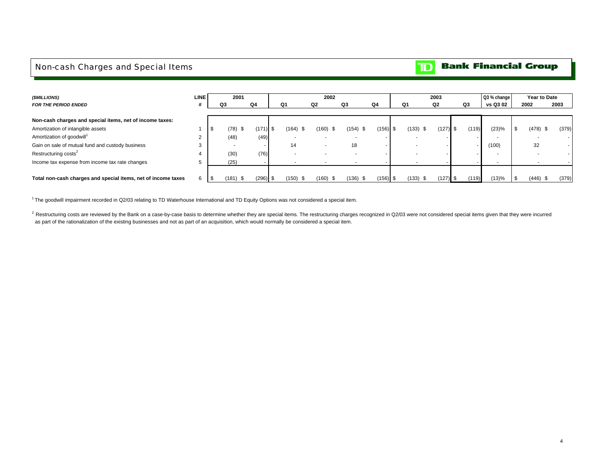#### <span id="page-5-0"></span>Non-cash Charges and Special Items

#### **Bank Financial Group**  $\mathbf{D}$

| (\$MILLIONS)                                                  | <b>LINE</b> |    | 2001        |            |                          | 2002          |               |            |              | 2003       |       | Q3 % change |            | Year to Date |
|---------------------------------------------------------------|-------------|----|-------------|------------|--------------------------|---------------|---------------|------------|--------------|------------|-------|-------------|------------|--------------|
| <b>FOR THE PERIOD ENDED</b>                                   |             | Q3 |             | Q4         | Q1                       | Q2            | Q3            | Q4         | Q1           | Q2         | Q3    | vs Q3 02    | 2002       | 2003         |
|                                                               |             |    |             |            |                          |               |               |            |              |            |       |             |            |              |
| Non-cash charges and special items, net of income taxes:      |             |    |             |            |                          |               |               |            |              |            |       |             |            |              |
| Amortization of intangible assets                             |             |    | (78)<br>-\$ | $(171)$ \$ | $(164)$ \$               | (160)         | $(154)$ \$    | $(156)$ \$ | (133)<br>-\$ | $(127)$ \$ | (119) | (23)%       | $(478)$ \$ | (379)        |
| Amortization of goodwill <sup>1</sup>                         |             |    | (48)        | (49)       |                          |               |               |            |              |            |       |             |            |              |
| Gain on sale of mutual fund and custody business              |             |    |             |            | 14                       |               | 18            |            |              |            |       | (100)       | 32         |              |
| Restructuring costs <sup>2</sup>                              |             |    | (30)        | (76)       | $\overline{\phantom{a}}$ |               |               |            |              |            |       |             |            |              |
| Income tax expense from income tax rate changes               |             |    | (25)        |            |                          |               |               |            |              |            |       | . .         |            |              |
|                                                               |             |    |             |            |                          |               |               |            |              |            |       |             |            |              |
| Total non-cash charges and special items, net of income taxes | 6           |    | (181)<br>\$ | $(296)$ \$ | $(150)$ \$               | (160)<br>- 35 | (136)<br>- \$ | $(156)$ \$ | (133)<br>J.  | $(127)$ \$ | (119) | (13)%       | $(446)$ \$ | (379)        |

<sup>1</sup>The goodwill impairment recorded in Q2/03 relating to TD Waterhouse International and TD Equity Options was not considered a special item.

<sup>2</sup> Restructuring costs are reviewed by the Bank on a case-by-case basis to determine whether they are special items. The restructuring charges recognized in Q2/03 were not considered special items given that they were inc as part of the rationalization of the existing businesses and not as part of an acquisition, which would normally be considered a special item.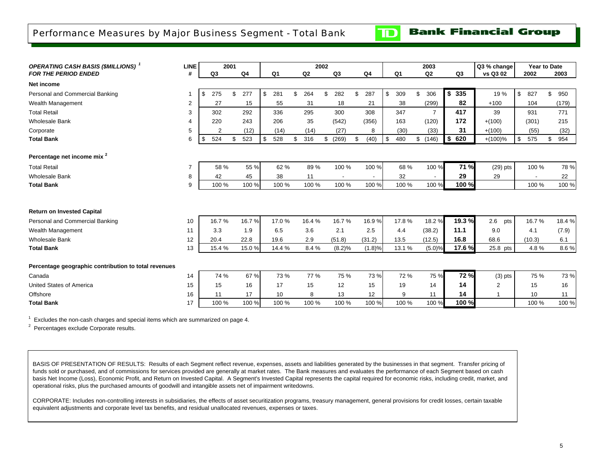<span id="page-6-0"></span>Performance Measures by Major Business Segment - Total Bank

**Bank Financial Group** 

 $\mathbf{D}% _{T}=\mathbf{D}_{T}\times\mathbf{D}_{T}$ 

| <b>OPERATING CASH BASIS (\$MILLIONS)</b> <sup>1</sup> | <b>LINE</b>    |           | 2001 |                |           | 2002      |                |       |                |                | 2003           |            |        | Q3 % change    | <b>Year to Date</b> |           |
|-------------------------------------------------------|----------------|-----------|------|----------------|-----------|-----------|----------------|-------|----------------|----------------|----------------|------------|--------|----------------|---------------------|-----------|
| <b>FOR THE PERIOD ENDED</b>                           | #              | Q3        |      | Q <sub>4</sub> | Q1        | Q2        | Q <sub>3</sub> |       | Q <sub>4</sub> | Q <sub>1</sub> | Q2             |            | Q3     | vs Q3 02       | 2002                | 2003      |
| Net income                                            |                |           |      |                |           |           |                |       |                |                |                |            |        |                |                     |           |
| Personal and Commercial Banking                       |                | \$<br>275 | \$   | 277            | \$<br>281 | \$<br>264 | 282<br>ደ       | \$    | 287            | \$<br>309      | \$<br>306      | \$         | 335    | 19 %           | \$<br>827           | \$<br>950 |
| Wealth Management                                     | $\overline{2}$ | 27        |      | 15             | 55        | 31        | 18             |       | 21             | 38             | (299)          |            | 82     | $+100$         | 104                 | (179)     |
| <b>Total Retail</b>                                   | 3              | 302       |      | 292            | 336       | 295       | 300            |       | 308            | 347            | $\overline{7}$ |            | 417    | 39             | 931                 | 771       |
| <b>Wholesale Bank</b>                                 | 4              | 220       |      | 243            | 206       | 35        | (542)          |       | (356)          | 163            | (120)          |            | 172    | $+(100)$       | (301)               | 215       |
| Corporate                                             | 5              | 2         |      | (12)           | (14)      | (14)      | (27)           |       | 8              | (30)           | (33)           |            | 31     | $+(100)$       | (55)                | (32)      |
| <b>Total Bank</b>                                     | 6              | 524<br>\$ | \$   | 523            | \$<br>528 | \$<br>316 | (269)<br>\$    | \$    | (40)           | \$<br>480      | \$(146)        | $\sqrt{2}$ | 620    | $+(100)%$      | \$<br>575           | 954<br>\$ |
| Percentage net income mix <sup>2</sup>                |                |           |      |                |           |           |                |       |                |                |                |            |        |                |                     |           |
| <b>Total Retail</b>                                   | $\overline{7}$ | 58 %      |      | 55 %           | 62 %      | 89%       | 100 %          |       | 100 %          | 68 %           | 100 %          |            | 71 %   | $(29)$ pts     | 100 %               | 78 %      |
| <b>Wholesale Bank</b>                                 | 8              | 42        |      | 45             | 38        | 11        |                |       |                | 32             |                |            | 29     | 29             |                     | 22        |
| <b>Total Bank</b>                                     | 9              | 100 %     |      | 100 %          | 100 %     | 100 %     |                | 100 % | 100 %          | 100 %          | 100 %          |            | 100 %  |                | 100 %               | 100 %     |
| <b>Return on Invested Capital</b>                     |                |           |      |                |           |           |                |       |                |                |                |            |        |                |                     |           |
| Personal and Commercial Banking                       | 10             | 16.7%     |      | 16.7%          | 17.0%     | 16.4%     | 16.7%          |       | 16.9%          | 17.8%          | 18.2%          |            | 19.3 % | 2.6<br>pts     | 16.7%               | 18.4%     |
| Wealth Management                                     | 11             | 3.3       |      | 1.9            | 6.5       | 3.6       | 2.1            |       | 2.5            | 4.4            | (38.2)         |            | 11.1   | 9.0            | 4.1                 | (7.9)     |
| <b>Wholesale Bank</b>                                 | 12             | 20.4      |      | 22.8           | 19.6      | 2.9       | (51.8)         |       | (31.2)         | 13.5           | (12.5)         |            | 16.8   | 68.6           | (10.3)              | 6.1       |
| <b>Total Bank</b>                                     | 13             | 15.4 %    |      | 15.0%          | 14.4 %    | 8.4%      | (8.2)%         |       | (1.8)%         | 13.1 %         | (5.0)%         |            | 17.6 % | 25.8 pts       | 4.8%                | 8.6%      |
| Percentage geographic contribution to total revenues  |                |           |      |                |           |           |                |       |                |                |                |            |        |                |                     |           |
| Canada                                                | 14             | 74 %      |      | 67 %           | 73 %      | 77 %      |                | 75 %  | 73 %           | 72 %           | 75 %           |            | 72 %   | $(3)$ pts      | 75 %                | 73 %      |
| United States of America                              | 15             | 15        |      | 16             | 17        | 15        | 12             |       | 15             | 19             | 14             |            | 14     | $\overline{2}$ | 15                  | 16        |
| Offshore                                              | 16             | 11        |      | 17             | 10        | 8         | 13             |       | 12             | 9              | 11             |            | 14     |                | 10                  | 11        |
| <b>Total Bank</b>                                     | 17             | 100 %     |      | 100 %          | 100 %     | 100 %     | 100 %          |       | 100 %          | 100 %          | 100 %          |            | 100 %  |                | 100 %               | 100 %     |
|                                                       |                |           |      |                |           |           |                |       |                |                |                |            |        |                |                     |           |

 $1$  Excludes the non-cash charges and special items which are summarized on page 4.

 $2$  Percentages exclude Corporate results.

BASIS OF PRESENTATION OF RESULTS: Results of each Segment reflect revenue, expenses, assets and liabilities generated by the businesses in that segment. Transfer pricing of funds sold or purchased, and of commissions for services provided are generally at market rates. The Bank measures and evaluates the performance of each Segment based on cash basis Net Income (Loss), Economic Profit, and Return on Invested Capital. A Segment's Invested Capital represents the capital required for economic risks, including credit, market, and operational risks, plus the purchased amounts of goodwill and intangible assets net of impairment writedowns.

CORPORATE: Includes non-controlling interests in subsidiaries, the effects of asset securitization programs, treasury management, general provisions for credit losses, certain taxable equivalent adjustments and corporate level tax benefits, and residual unallocated revenues, expenses or taxes.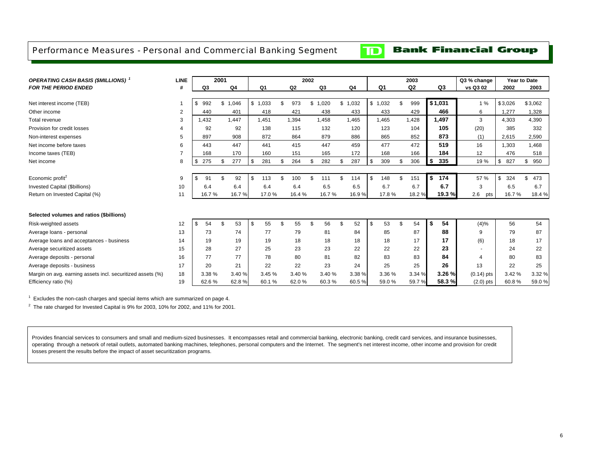#### <span id="page-7-0"></span>Performance Measures - Personal and Commercial Banking Segment

 $\mathbf{D}$ 

#### **Bank Financial Group**

| <b>OPERATING CASH BASIS (\$MILLIONS)</b>                   | <b>LINE</b>    |           | 2001 |         |    |                |                | 2002 |        |           |                | 2003           |      |                | Q3 % change  |           | Year to Date |
|------------------------------------------------------------|----------------|-----------|------|---------|----|----------------|----------------|------|--------|-----------|----------------|----------------|------|----------------|--------------|-----------|--------------|
| <b>FOR THE PERIOD ENDED</b>                                | #              | Q3        |      | Q4      |    | Q <sub>1</sub> | Q <sub>2</sub> |      | Q3     | Q4        | Q <sub>1</sub> | Q <sub>2</sub> |      | Q <sub>3</sub> | vs Q3 02     | 2002      | 2003         |
|                                                            |                |           |      |         |    |                |                |      |        |           |                |                |      |                |              |           |              |
| Net interest income (TEB)                                  |                | \$<br>992 |      | \$1,046 |    | \$1,033        | \$<br>973      | \$   | 1,020  | \$1,032   | \$1,032        | \$<br>999      |      | \$1.031        | 1%           | \$3,026   | \$3,062      |
| Other income                                               | $\overline{2}$ | 440       |      | 401     |    | 418            | 421            |      | 438    | 433       | 433            | 429            |      | 466            | 6            | 1.277     | 1,328        |
| Total revenue                                              | 3              | 1.432     |      | 1.447   |    | 1,451          | 1,394          |      | 1,458  | 1.465     | 1.465          | 1.428          |      | 1.497          | 3            | 4.303     | 4,390        |
| Provision for credit losses                                | $\overline{4}$ | 92        |      | 92      |    | 138            | 115            |      | 132    | 120       | 123            | 104            |      | 105            | (20)         | 385       | 332          |
| Non-interest expenses                                      | 5              | 897       |      | 908     |    | 872            | 864            |      | 879    | 886       | 865            | 852            |      | 873            | (1)          | 2,615     | 2,590        |
| Net income before taxes                                    | 6              | 443       |      | 447     |    | 441            | 415            |      | 447    | 459       | 477            | 472            |      | 519            | 16           | 1.303     | 1,468        |
| Income taxes (TEB)                                         | $\overline{7}$ | 168       |      | 170     |    | 160            | 151            |      | 165    | 172       | 168            | 166            |      | 184            | 12           | 476       | 518          |
| Net income                                                 | 8              | \$<br>275 | \$   | 277     | S. | 281            | \$<br>264      |      | 282    | \$<br>287 | \$<br>309      | \$<br>306      | \$   | 335            | 19%          | \$<br>827 | 950<br>\$    |
|                                                            |                |           |      |         |    |                |                |      |        |           |                |                |      |                |              |           |              |
| Economic profit <sup>2</sup>                               | 9              | 91        | \$   | 92      | \$ | 113            | \$<br>100      |      | 111    | \$<br>114 | \$<br>148      | \$<br>151      | S.   | 174            | 57 %         | \$<br>324 | 473<br>\$    |
| Invested Capital (\$billions)                              | 10             | 6.4       |      | 6.4     |    | 6.4            | 6.4            |      | 6.5    | 6.5       | 6.7            | 6.7            |      | 6.7            | 3            | 6.5       | 6.7          |
| Return on Invested Capital (%)                             | 11             | 16.7%     |      | 16.7%   |    | 17.0%          | 16.4 %         |      | 16.7%  | 16.9%     | 17.8%          | 18.2%          |      | 19.3%          | 2.6<br>pts   | 16.7%     | 18.4 %       |
|                                                            |                |           |      |         |    |                |                |      |        |           |                |                |      |                |              |           |              |
| Selected volumes and ratios (\$billions)                   |                |           |      |         |    |                |                |      |        |           |                |                |      |                |              |           |              |
| Risk-weighted assets                                       | 12             | \$<br>54  | \$   | 53      | \$ | 55             | \$<br>55       | £.   | 56     | \$<br>52  | \$<br>53       | \$<br>54       | - \$ | 54             | (4)%         | 56        | 54           |
| Average loans - personal                                   | 13             | 73        |      | 74      |    | 77             | 79             |      | 81     | 84        | 85             | 87             |      | 88             | 9            | 79        | 87           |
| Average loans and acceptances - business                   | 14             | 19        |      | 19      |    | 19             | 18             |      | 18     | 18        | 18             | 17             |      | 17             | (6)          | 18        | 17           |
| Average securitized assets                                 | 15             | 28        |      | 27      |    | 25             | 23             |      | 23     | 22        | 22             | 22             |      | 23             | ٠            | 24        | 22           |
| Average deposits - personal                                | 16             | 77        |      | 77      |    | 78             | 80             |      | 81     | 82        | 83             | 83             |      | 84             | 4            | 80        | 83           |
| Average deposits - business                                | 17             | 20        |      | 21      |    | 22             | 22             |      | 23     | 24        | 25             | 25             |      | 26             | 13           | 22        | 25           |
| Margin on avg. earning assets incl. securitized assets (%) | 18             | 3.38 %    |      | 3.40 %  |    | 3.45 %         | 3.40 %         |      | 3.40 % | 3.38 %    | 3.36 %         | 3.34 %         |      | 3.26 %         | $(0.14)$ pts | 3.42 %    | 3.32 %       |
| Efficiency ratio (%)                                       | 19             | 62.6%     |      | 62.8%   |    | 60.1%          | 62.0%          |      | 60.3%  | 60.5%     | 59.0 %         | 59.7%          |      | 58.3%          | $(2.0)$ pts  | 60.8%     | 59.0%        |

 $1$  Excludes the non-cash charges and special items which are summarized on page 4.

 $2$  The rate charged for Invested Capital is 9% for 2003, 10% for 2002, and 11% for 2001.

Provides financial services to consumers and small and medium-sized businesses. It encompasses retail and commercial banking, electronic banking, credit card services, and insurance businesses, operating through a network of retail outlets, automated banking machines, telephones, personal computers and the Internet. The segment's net interest income, other income and provision for credit losses present the results before the impact of asset securitization programs.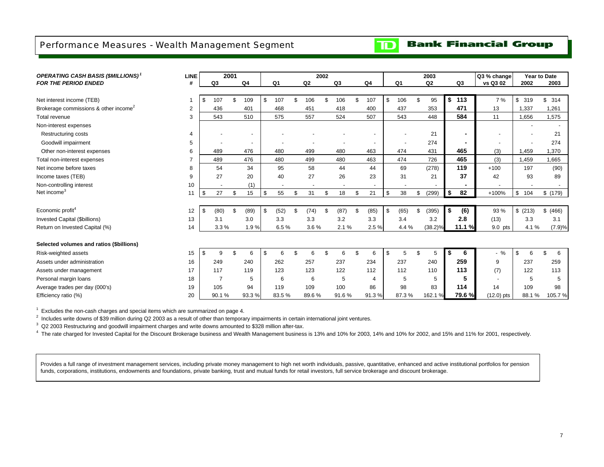### <span id="page-8-0"></span>Performance Measures - Wealth Management Segment

**Bank Financial Group**  $\mathbf{D}$ 

| <b>OPERATING CASH BASIS (\$MILLIONS)</b>          | <b>LINE</b>    |                | 2001 |                          |                |     |       | 2002 |       |                          |                |                | 2003       |    |                | Q3 % change  |           | Year to Date |
|---------------------------------------------------|----------------|----------------|------|--------------------------|----------------|-----|-------|------|-------|--------------------------|----------------|----------------|------------|----|----------------|--------------|-----------|--------------|
| <b>FOR THE PERIOD ENDED</b>                       | #              | Q3             |      | Q4                       | Q <sub>1</sub> |     | Q2    |      | Q3    | Q <sub>4</sub>           | Q <sub>1</sub> |                | Q2         |    | Q3             | vs Q3 02     | 2002      | 2003         |
|                                                   |                |                |      |                          |                |     |       |      |       |                          |                |                |            |    |                |              |           |              |
| Net interest income (TEB)                         |                | \$<br>107      | \$   | 109                      | \$<br>107      | \$. | 106   | \$   | 106   | \$<br>107                | \$<br>106      | \$             | 95         | \$ | 113            | 7%           | \$<br>319 | \$314        |
| Brokerage commissions & other income <sup>2</sup> | 2              | 436            |      | 401                      | 468            |     | 451   |      | 418   | 400                      | 437            |                | 353        |    | 471            | 13           | 1,337     | 1,261        |
| Total revenue                                     | 3              | 543            |      | 510                      | 575            |     | 557   |      | 524   | 507                      | 543            |                | 448        |    | 584            | 11           | 1,656     | 1,575        |
| Non-interest expenses                             |                |                |      |                          |                |     |       |      |       |                          |                |                |            |    |                |              |           |              |
| Restructuring costs                               | 4              |                |      | $\overline{\phantom{a}}$ |                |     |       |      |       |                          |                |                | 21         |    |                |              |           | 21           |
| Goodwill impairment                               | 5              |                |      | $\blacksquare$           |                |     |       |      |       | $\overline{\phantom{a}}$ |                |                | 274        |    | $\blacksquare$ |              |           | 274          |
| Other non-interest expenses                       | 6              | 489            |      | 476                      | 480            |     | 499   |      | 480   | 463                      | 474            |                | 431        |    | 465            | (3)          | 1,459     | 1,370        |
| Total non-interest expenses                       | $\overline{7}$ | 489            |      | 476                      | 480            |     | 499   |      | 480   | 463                      | 474            |                | 726        |    | 465            | (3)          | 1,459     | 1,665        |
| Net income before taxes                           | 8              | 54             |      | 34                       | 95             |     | 58    |      | 44    | 44                       | 69             |                | (278)      |    | 119            | $+100$       | 197       | (90)         |
| Income taxes (TEB)                                | 9              | 27             |      | 20                       | 40             |     | 27    |      | 26    | 23                       | 31             |                | 21         |    | 37             | 42           | 93        | 89           |
| Non-controlling interest                          | 10             |                |      | (1)                      |                |     |       |      |       |                          |                |                |            |    |                |              |           |              |
| Net income <sup>3</sup>                           | 11             | \$<br>27       | \$   | 15                       | \$<br>55       | \$  | 31    | \$   | 18    | \$<br>21                 | \$<br>38       | \$             | (299)      | \$ | 82             | $+100%$      | \$<br>104 | \$ (179)     |
|                                                   |                |                |      |                          |                |     |       |      |       |                          |                |                |            |    |                |              |           |              |
| Economic profit <sup>4</sup>                      | 12             | \$<br>(80)     | \$   | (89)                     | \$<br>(52)     | \$  | (74)  | \$   | (87)  | \$<br>(85)               | \$<br>(65)     | \$             | (395)      | \$ | (6)            | 93 %         | \$(213)   | (466)<br>\$  |
| Invested Capital (\$billions)                     | 13             | 3.1            |      | 3.0                      | 3.3            |     | 3.3   |      | 3.2   | 3.3                      | 3.4            |                | 3.2        |    | 2.8            | (13)         | 3.3       | 3.1          |
| Return on Invested Capital (%)                    | 14             | 3.3%           |      | 1.9%                     | 6.5%           |     | 3.6%  |      | 2.1%  | 2.5%                     | 4.4 %          |                | $(38.2)$ % |    | 11.1 %         | 9.0 pts      | 4.1%      | (7.9)%       |
|                                                   |                |                |      |                          |                |     |       |      |       |                          |                |                |            |    |                |              |           |              |
| Selected volumes and ratios (\$billions)          |                |                |      |                          |                |     |       |      |       |                          |                |                |            |    |                |              |           |              |
| Risk-weighted assets                              | 15             | \$<br>9        | \$   | 6                        | \$<br>6        | \$  | 6     | \$   | 6     | \$<br>6                  | \$<br>5        | $\mathfrak{L}$ | 5          | S. | 6              | $\%$         | \$<br>6   | 6<br>\$      |
| Assets under administration                       | 16             | 249            |      | 240                      | 262            |     | 257   |      | 237   | 234                      | 237            |                | 240        |    | 259            | 9            | 237       | 259          |
| Assets under management                           | 17             | 117            |      | 119                      | 123            |     | 123   |      | 122   | 112                      | 112            |                | 110        |    | 113            | (7)          | 122       | 113          |
| Personal margin loans                             | 18             | $\overline{7}$ |      | 5                        | 6              |     | 6     |      | 5     | $\overline{4}$           | 5              |                | 5          |    | 5              |              | 5         | 5            |
| Average trades per day (000's)                    | 19             | 105            |      | 94                       | 119            |     | 109   |      | 100   | 86                       | 98             |                | 83         |    | 114            | 14           | 109       | 98           |
| Efficiency ratio (%)                              | 20             | 90.1%          |      | 93.3%                    | 83.5%          |     | 89.6% |      | 91.6% | 91.3%                    | 87.3%          |                | 162.1 %    |    | 79.6%          | $(12.0)$ pts | 88.1%     | 105.7%       |

 $1$  Excludes the non-cash charges and special items which are summarized on page 4.

 $^2$  Includes write downs of \$39 million during Q2 2003 as a result of other than temporary impairments in certain international joint ventures.

 $3\,$  Q2 2003 Restructuring and goodwill impairment charges and write downs amounted to \$328 million after-tax.

<sup>4</sup> The rate charged for Invested Capital for the Discount Brokerage business and Wealth Management business is 13% and 10% for 2003, 14% and 10% for 2002, and 15% and 11% for 2001, respectively.

Provides a full range of investment management services, including private money management to high net worth individuals, passive, quantitative, enhanced and active institutional portfolios for pension funds, corporations, institutions, endowments and foundations, private banking, trust and mutual funds for retail investors, full service brokerage and discount brokerage.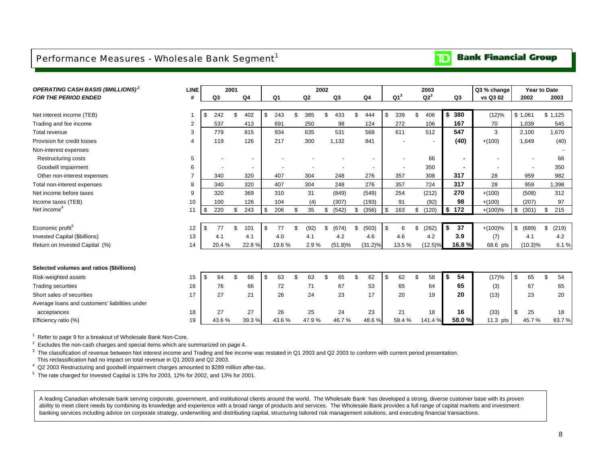#### <span id="page-9-0"></span>Performance Measures - Wholesale Bank Segment<sup>1</sup>

### **Bank Financial Group**

| <b>OPERATING CASH BASIS (\$MILLIONS)<sup>2</sup></b> | <b>LINE</b>    |     |                          | 2001         |                          |                |                | 2002           |            |     |                |                 | 2003                     |                | Q3 % change              | Year to Date |             |
|------------------------------------------------------|----------------|-----|--------------------------|--------------|--------------------------|----------------|----------------|----------------|------------|-----|----------------|-----------------|--------------------------|----------------|--------------------------|--------------|-------------|
| <b>FOR THE PERIOD ENDED</b>                          | #              |     | Q <sub>3</sub>           |              | Q <sub>4</sub>           | Q <sub>1</sub> | Q <sub>2</sub> |                | Q3         |     | Q <sub>4</sub> | Q1 <sup>3</sup> | $Q2^3$                   | Q <sub>3</sub> | vs Q3 02                 | 2002         | 2003        |
|                                                      |                |     |                          |              |                          |                |                |                |            |     |                |                 |                          |                |                          |              |             |
| Net interest income (TEB)                            |                | \$  | 242                      | \$           | 402                      | \$<br>243      | \$<br>385      | \$             | 433        | \$  | 444            | \$<br>339       | \$<br>406                | \$<br>380      | (12)%                    | \$1,061      | \$1,125     |
| Trading and fee income                               | 2              |     | 537                      |              | 413                      | 691            | 250            |                | 98         |     | 124            | 272             | 106                      | 167            | 70                       | 1,039        | 545         |
| Total revenue                                        | 3              |     | 779                      |              | 815                      | 934            | 635            |                | 531        |     | 568            | 611             | 512                      | 547            | 3                        | 2,100        | 1,670       |
| Provision for credit losses                          | 4              |     | 119                      |              | 126                      | 217            | 300            |                | 1,132      |     | 841            |                 | $\overline{\phantom{a}}$ | (40)           | $+(100)$                 | 1,649        | (40)        |
| Non-interest expenses                                |                |     |                          |              |                          |                |                |                |            |     |                |                 |                          |                |                          |              |             |
| Restructuring costs                                  | 5              |     | $\overline{\phantom{a}}$ |              | $\overline{\phantom{a}}$ |                |                |                |            |     |                |                 | 66                       | $\blacksquare$ | $\overline{\phantom{a}}$ |              | 66          |
| Goodwill impairment                                  | 6              |     |                          |              | $\overline{\phantom{a}}$ |                |                |                |            |     |                |                 | 350                      |                |                          |              | 350         |
| Other non-interest expenses                          | $\overline{7}$ |     | 340                      |              | 320                      | 407            | 304            |                | 248        |     | 276            | 357             | 308                      | 317            | 28                       | 959          | 982         |
| Total non-interest expenses                          | 8              |     | 340                      |              | 320                      | 407            | 304            |                | 248        |     | 276            | 357             | 724                      | 317            | 28                       | 959          | 1,398       |
| Net income before taxes                              | 9              |     | 320                      |              | 369                      | 310            | 31             |                | (849)      |     | (549)          | 254             | (212)                    | 270            | $+(100)$                 | (508)        | 312         |
| Income taxes (TEB)                                   | 10             |     | 100                      |              | 126                      | 104            | (4)            |                | (307)      |     | (193)          | 91              | (92)                     | 98             | $+(100)$                 | (207)        | 97          |
| Net income <sup>4</sup>                              | 11             | \$  | 220                      | \$           | 243                      | \$<br>206      | \$<br>35       | \$             | (542)      | \$  | (356)          | \$<br>163       | \$<br>(120)              | \$172          | $+(100)%$                | \$<br>(301)  | \$<br>215   |
|                                                      |                |     |                          |              |                          |                |                |                |            |     |                |                 |                          |                |                          |              |             |
| Economic profit <sup>5</sup>                         | 12             | \$  | 77                       | \$           | 101                      | \$<br>77       | \$<br>(92)     | £.             | (674)      | \$  | (503)          | \$<br>6         | \$<br>(262)              | \$<br>37       | $+(100)\%$               | \$<br>(689)  | \$<br>(219) |
| <b>Invested Capital (\$billions)</b>                 | 13             |     | 4.1                      |              | 4.1                      | 4.0            | 4.1            |                | 4.2        |     | 4.6            | 4.6             | 4.2                      | 3.9            | (7)                      | 4.1          | 4.2         |
| Return on Invested Capital (%)                       | 14             |     | 20.4%                    |              | 22.8%                    | 19.6%          | 2.9%           |                | $(51.8)\%$ |     | $(31.2)\%$     | 13.5%           | $(12.5)\%$               | 16.8 %         | 68.6 pts                 | $(10.3)\%$   | 6.1%        |
|                                                      |                |     |                          |              |                          |                |                |                |            |     |                |                 |                          |                |                          |              |             |
| Selected volumes and ratios (\$billions)             |                |     |                          |              |                          |                |                |                |            |     |                |                 |                          |                |                          |              |             |
|                                                      |                |     |                          | $\mathbf{f}$ |                          |                | \$             | $\mathfrak{R}$ |            |     |                |                 |                          | 54             |                          |              |             |
| Risk-weighted assets                                 | 15             | \$. | 64                       |              | 66                       | \$<br>63       | 63             |                | 65         | \$. | 62             | \$<br>62        | \$<br>58                 | \$<br>65       | (17)%                    | \$<br>65     | \$<br>54    |
| <b>Trading securities</b>                            | 16             |     | 76                       |              | 66                       | 72             | 71             |                | 67         |     | 53             | 65              | 64                       |                | (3)                      | 67           | 65          |
| Short sales of securities                            | 17             |     | 27                       |              | 21                       | 26             | 24             |                | 23         |     | 17             | 20              | 19                       | 20             | (13)                     | 23           | 20          |
| Average loans and customers' liabilities under       |                |     |                          |              |                          |                |                |                |            |     |                |                 |                          |                |                          |              |             |
| acceptances                                          | 18             |     | 27                       |              | 27                       | 26             | 25             |                | 24         |     | 23             | 21              | 18                       | 16             | (33)                     | \$<br>25     | 18          |
| Efficiency ratio (%)                                 | 19             |     | 43.6%                    |              | 39.3%                    | 43.6%          | 47.9%          |                | 46.7%      |     | 48.6%          | 58.4%           | 141.4%                   | 58.0%          | 11.3 pts                 | 45.7%        | 83.7%       |

<sup>1</sup> Refer to page 9 for a breakout of Wholesale Bank Non-Core.

 $2$  Excludes the non-cash charges and special items which are summarized on page 4.

 $3$  The classification of revenue between Net interest income and Trading and fee income was restated in Q1 2003 and Q2 2003 to conform with current period presentation. This reclassification had no impact on total revenue in Q1 2003 and Q2 2003.

 $4$  Q2 2003 Restructuring and goodwill impairment charges amounted to \$289 million after-tax.

<sup>5</sup> The rate charged for Invested Capital is 13% for 2003, 12% for 2002, and 13% for 2001.

A leading Canadian wholesale bank serving corporate, government, and institutional clients around the world. The Wholesale Bank has developed a strong, diverse customer base with its proven ability to meet client needs by combining its knowledge and experience with a broad range of products and services. The Wholesale Bank provides a full range of capital markets and investment banking services including advice on corporate strategy, underwriting and distributing capital, structuring tailored risk management solutions, and executing financial transactions.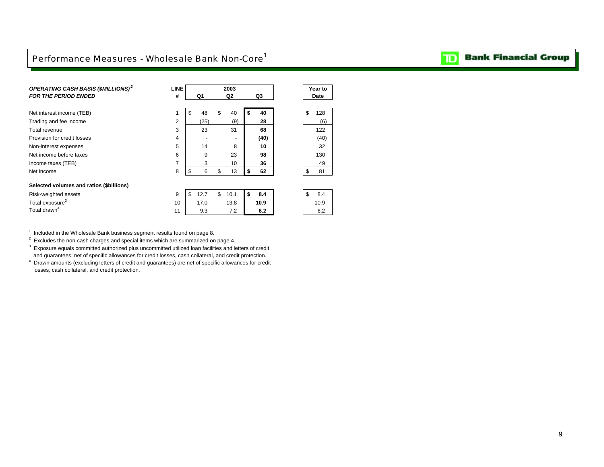#### <span id="page-10-0"></span>Performance Measures - Wholesale Bank Non-Core<sup>1</sup>

| OPERATING CASH BASIS (\$MILLIONS) <sup>2</sup><br><b>FOR THE PERIOD ENDED</b> | <b>LINE</b><br># | Q1         | 2003<br>Q <sub>2</sub> | Q3        |    | Year to<br>Date |
|-------------------------------------------------------------------------------|------------------|------------|------------------------|-----------|----|-----------------|
| Net interest income (TEB)                                                     | 1                | \$<br>48   | \$<br>40               | \$<br>40  | \$ | 128             |
| Trading and fee income                                                        | $\overline{2}$   | (25)       | (9)                    | 28        |    | (6)             |
| Total revenue                                                                 | 3                | 23         | 31                     | 68        |    | 122             |
| Provision for credit losses                                                   | 4                |            | ٠                      | (40)      |    | (40)            |
| Non-interest expenses                                                         | 5                | 14         | 8                      | 10        |    | 32              |
| Net income before taxes                                                       | 6                | 9          | 23                     | 98        |    | 130             |
| Income taxes (TEB)                                                            | 7                | 3          | 10                     | 36        |    | 49              |
| Net income                                                                    | 8                | \$<br>6    | \$<br>13               | \$<br>62  | \$ | 81              |
| Selected volumes and ratios (\$billions)                                      |                  |            |                        |           |    |                 |
| Risk-weighted assets                                                          | 9                | \$<br>12.7 | \$<br>10.1             | \$<br>8.4 | \$ | 8.4             |
| Total exposure <sup>3</sup>                                                   | 10               | 17.0       | 13.8                   | 10.9      |    | 10.9            |
| Total drawn <sup>4</sup>                                                      | 11               | 9.3        | 7.2                    | 6.2       |    | 6.2             |

 $^1$  Included in the Wholesale Bank business segment results found on page 8.<br><sup>2</sup> Excludes the non-cash charges and special items which are summarized on page 4.

 $3$  Exposure equals committed authorized plus uncommitted utilized loan facilities and letters of credit

and guarantees; net of specific allowances for credit losses, cash collateral, and credit protection.

4 Drawn amounts (excluding letters of credit and guarantees) are net of specific allowances for credit losses, cash collateral, and credit protection.

### **TD** Bank Financial Group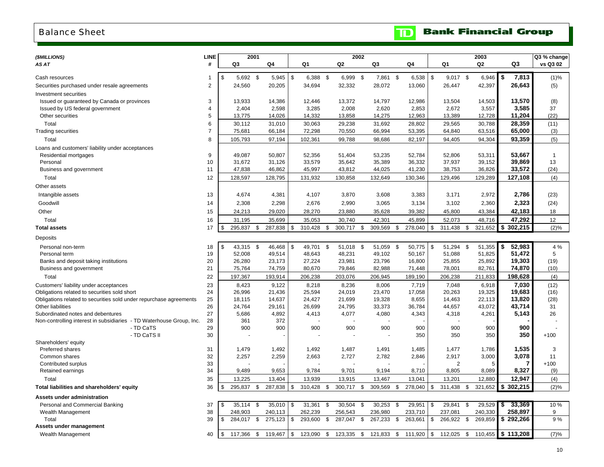### <span id="page-11-0"></span>Balance Sheet

### **TD** Bank Financial Group

| (\$MILLIONS)                                                                      | LINE                |                |                  | 2001 |                  |                  | 2002             |      |                  |                  |                  | 2003             |                  | Q3 % change        |
|-----------------------------------------------------------------------------------|---------------------|----------------|------------------|------|------------------|------------------|------------------|------|------------------|------------------|------------------|------------------|------------------|--------------------|
| AS AT                                                                             | #                   |                | Q3               |      | Q4               | Q1               | Q2               |      | Q3               | Q4               | Q1               | Q2               | Q3               | vs Q3 02           |
|                                                                                   |                     |                |                  |      |                  |                  |                  |      |                  |                  |                  |                  |                  |                    |
| Cash resources                                                                    | -1                  | \$             | $5,692$ \$       |      | 5,945            | \$<br>$6,388$ \$ | 6,999 \$         |      | 7,861 \$         | $6,538$ \$       | 9,017 \$         | 6,946            | \$<br>7,813      | (1)%               |
| Securities purchased under resale agreements                                      | 2                   |                | 24,560           |      | 20,205           | 34,694           | 32,332           |      | 28,072           | 13,060           | 26,447           | 42,397           | 26,643           | (5)                |
| Investment securities                                                             |                     |                |                  |      |                  |                  |                  |      |                  |                  |                  |                  |                  |                    |
| Issued or guaranteed by Canada or provinces                                       | 3                   |                | 13,933           |      | 14,386           | 12,446           | 13,372           |      | 14,797           | 12,986           | 13,504           | 14,503           | 13,570           | (8)                |
| Issued by US federal government                                                   | $\overline{4}$      |                | 2,404            |      | 2,598            | 3,285            | 2,008            |      | 2,620            | 2,853            | 2,672            | 3,557            | 3,585            | 37                 |
| Other securities                                                                  | 5                   |                | 13,775           |      | 14,026           | 14,332           | 13,858           |      | 14,275           | 12,963           | 13,389           | 12,728           | 11,204           | (22)               |
| Total                                                                             | 6<br>$\overline{7}$ |                | 30,112           |      | 31,010           | 30,063           | 29,238           |      | 31,692           | 28,802           | 29,565           | 30,788           | 28,359           | (11)               |
| <b>Trading securities</b>                                                         |                     |                | 75,681           |      | 66,184           | 72,298           | 70,550           |      | 66,994           | 53,395           | 64,840           | 63,516           | 65,000           | (3)                |
| Total                                                                             | 8                   |                | 105,793          |      | 97,194           | 102,361          | 99,788           |      | 98,686           | 82,197           | 94,405           | 94,304           | 93,359           | (5)                |
| Loans and customers' liability under acceptances                                  |                     |                |                  |      |                  |                  |                  |      |                  |                  |                  |                  |                  |                    |
| Residential mortgages<br>Personal                                                 | 9<br>10             |                | 49,087<br>31,672 |      | 50,807<br>31,126 | 52,356<br>33,579 | 51,404<br>35,642 |      | 53,235<br>35,389 | 52,784<br>36,332 | 52,806<br>37,937 | 53,311<br>39,152 | 53,667<br>39,869 | $\mathbf{1}$<br>13 |
| Business and government                                                           | 11                  |                | 47,838           |      | 46,862           | 45,997           | 43,812           |      | 44,025           | 41,230           | 38,753           | 36,826           | 33,572           | (24)               |
| Total                                                                             | 12                  |                | 128,597          |      | 128,795          | 131,932          | 130,858          |      | 132,649          | 130,346          | 129,496          | 129,289          | 127,108          | (4)                |
|                                                                                   |                     |                |                  |      |                  |                  |                  |      |                  |                  |                  |                  |                  |                    |
| Other assets                                                                      |                     |                |                  |      |                  |                  |                  |      |                  |                  |                  |                  |                  |                    |
| Intangible assets                                                                 | 13                  |                | 4,674            |      | 4,381            | 4,107            | 3,870            |      | 3,608            | 3,383            | 3,171            | 2,972            | 2,786            | (23)               |
| Goodwill                                                                          | 14                  |                | 2,308            |      | 2,298            | 2,676            | 2,990            |      | 3,065            | 3,134            | 3,102            | 2,360            | 2,323            | (24)               |
| Other                                                                             | 15                  |                | 24,213           |      | 29,020           | 28,270           | 23,880           |      | 35,628           | 39,382           | 45,800           | 43,384           | 42,183           | 18                 |
| Total                                                                             | 16                  |                | 31,195           |      | 35,699           | 35,053           | 30,740           |      | 42,301           | 45,899           | 52,073           | 48,716           | 47,292           | 12                 |
| <b>Total assets</b>                                                               | 17                  | \$             | 295,837 \$       |      | 287,838          | \$<br>310,428    | \$<br>300,717    | \$   | 309,569          | \$<br>278,040    | \$<br>311,438    | \$<br>321,652    | \$302,215        | (2)%               |
| Deposits                                                                          |                     |                |                  |      |                  |                  |                  |      |                  |                  |                  |                  |                  |                    |
| Personal non-term                                                                 | 18                  | $\mathfrak{S}$ | 43,315           | \$   | 46,468           | \$<br>49,701     | \$<br>51,018     | - \$ | 51,059           | \$<br>50,775     | \$<br>51,294     | \$<br>51,355     | \$<br>52,983     | 4 %                |
| Personal term                                                                     | 19                  |                | 52,008           |      | 49,514           | 48,643           | 48,231           |      | 49,102           | 50,167           | 51,088           | 51,825           | 51,472           | 5                  |
| Banks and deposit taking institutions                                             | 20                  |                | 26,280           |      | 23,173           | 27,224           | 23,981           |      | 23,796           | 16,800           | 25,855           | 25,892           | 19,303           | (19)               |
| Business and government                                                           | 21                  |                | 75,764           |      | 74,759           | 80,670           | 79,846           |      | 82,988           | 71,448           | 78,001           | 82,761           | 74,870           | (10)               |
| Total                                                                             | 22                  |                | 197,367          |      | 193,914          | 206,238          | 203,076          |      | 206,945          | 189,190          | 206,238          | 211,833          | 198,628          | (4)                |
| Customers' liability under acceptances                                            | 23                  |                | 8,423            |      | 9,122            | 8,218            | 8,236            |      | 8,006            | 7,719            | 7,048            | 6,918            | 7,030            | (12)               |
| Obligations related to securities sold short                                      | 24                  |                | 26,996           |      | 21,436           | 25,594           | 24,019           |      | 23,470           | 17,058           | 20,263           | 19,325           | 19,683           | (16)               |
| Obligations related to securities sold under repurchase agreements                | 25                  |                | 18,115           |      | 14,637           | 24,427           | 21,699           |      | 19,328           | 8,655            | 14,463           | 22,113           | 13,820           | (28)               |
| Other liabilities                                                                 | 26                  |                | 24,764           |      | 29,161           | 26,699           | 24,795           |      | 33,373           | 36,784           | 44,657           | 43,072           | 43,714           | 31                 |
| Subordinated notes and debentures                                                 | 27                  |                | 5,686            |      | 4,892            | 4,413            | 4,077            |      | 4,080            | 4,343            | 4,318            | 4,261            | 5,143            | 26                 |
| Non-controlling interest in subsidiaries - TD Waterhouse Group, Inc.<br>- TD CaTS | 28<br>29            |                | 361<br>900       |      | 372<br>900       | 900              | 900              |      | 900              | 900              | 900              | 900              | 900              |                    |
| - TD CaTS II                                                                      | 30                  |                |                  |      |                  |                  |                  |      |                  | 350              | 350              | 350              | 350              | $+100$             |
| Shareholders' equity                                                              |                     |                |                  |      |                  |                  |                  |      |                  |                  |                  |                  |                  |                    |
| <b>Preferred shares</b>                                                           | 31                  |                | 1,479            |      | 1,492            | 1,492            | 1,487            |      | 1,491            | 1,485            | 1,477            | 1,786            | 1,535            | 3                  |
| Common shares                                                                     | 32                  |                | 2,257            |      | 2,259            | 2,663            | 2,727            |      | 2,782            | 2,846            | 2,917            | 3,000            | 3,078            | 11                 |
| Contributed surplus                                                               | 33                  |                |                  |      |                  |                  |                  |      |                  |                  | 2                | 5                |                  | $+100$             |
| Retained earnings                                                                 | 34                  |                | 9,489            |      | 9,653            | 9,784            | 9,701            |      | 9,194            | 8,710            | 8,805            | 8,089            | 8,327            | (9)                |
| Total                                                                             | 35                  |                | 13,225           |      | 13,404           | 13,939           | 13,915           |      | 13,467           | 13,041           | 13,201           | 12,880           | 12,947           | (4)                |
| Total liabilities and shareholders' equity                                        | 36                  | \$             | 295,837          | \$   | 287,838          | \$<br>310,428    | \$<br>300,717    | \$   | 309,569          | \$<br>278,040    | \$<br>311,438    | \$<br>321,652    | \$<br>302,215    | (2)%               |
| Assets under administration                                                       |                     |                |                  |      |                  |                  |                  |      |                  |                  |                  |                  |                  |                    |
| Personal and Commercial Banking                                                   | 37                  | \$             | 35,114           | \$   | 35,010           | \$<br>31,361     | \$<br>30,504     | -\$  | 30,253           | \$<br>29,951     | \$<br>29,841     | \$<br>29,529     | \$<br>33,369     | 10%                |
| Wealth Management                                                                 | 38                  |                | 248,903          |      | 240,113          | 262,239          | 256,543          |      | 236,980          | 233,710          | 237,081          | 240,330          | 258,897          | 9                  |
| Total                                                                             | 39                  | \$             | 284,017 \$       |      | 275,123          | \$<br>293,600    | \$<br>287,047    | \$   | 267,233          | \$<br>263,661    | \$<br>266,922    | \$<br>269,859    | \$292,266        | 9%                 |
| Assets under management                                                           |                     |                |                  |      |                  |                  |                  |      |                  |                  |                  |                  |                  |                    |
| Wealth Management                                                                 | 40                  | \$             | 117,366          | \$   | 119,467          | \$<br>123,090    | \$<br>123,335    | \$   | 121,833          | \$<br>111,920    | \$<br>112,025    | \$<br>110,455    | \$113,208        | (7)%               |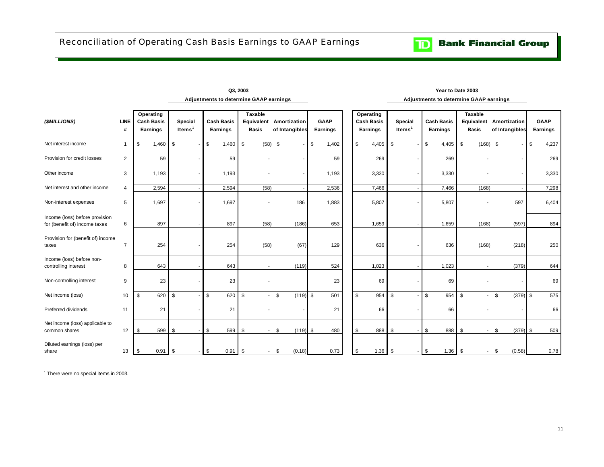<span id="page-12-0"></span>

| (\$MILLIONS)                                                    | <b>LINE</b><br># | Operating<br><b>Cash Basis</b><br>Earnings | Special<br>Items <sup>1</sup> | <b>Cash Basis</b><br>Earnings | Taxable<br><b>Basis</b>        | Equivalent Amortization<br>of Intangibles | <b>GAAP</b><br>Earnings | Operating<br><b>Cash Basis</b><br><b>Earnings</b> | Special<br>Items <sup>1</sup> | <b>Cash Basis</b><br><b>Earnings</b> | Taxable<br>Equivalent<br><b>Basis</b> | Amortization<br>of Intangibles | <b>GAAP</b><br>Earnings |
|-----------------------------------------------------------------|------------------|--------------------------------------------|-------------------------------|-------------------------------|--------------------------------|-------------------------------------------|-------------------------|---------------------------------------------------|-------------------------------|--------------------------------------|---------------------------------------|--------------------------------|-------------------------|
| Net interest income                                             | $\overline{1}$   | $1,460$ \$<br>\$                           |                               | \$<br>$1,460$ \$              |                                | $(58)$ \$                                 | \$<br>1,402             | \$<br>4,405                                       | \$                            | \$<br>4,405                          | \$<br>$(168)$ \$                      |                                | \$<br>4,237             |
| Provision for credit losses                                     | 2                | 59                                         |                               | 59                            |                                |                                           | 59                      | 269                                               |                               | 269                                  |                                       |                                | 269                     |
| Other income                                                    | 3                | 1,193                                      |                               | 1,193                         | ٠                              |                                           | 1,193                   | 3,330                                             |                               | 3,330                                |                                       |                                | 3,330                   |
| Net interest and other income                                   | $\overline{4}$   | 2,594                                      |                               | 2,594                         | (58)                           |                                           | 2,536                   | 7,466                                             |                               | 7,466                                | (168)                                 |                                | 7,298                   |
| Non-interest expenses                                           | 5                | 1,697                                      |                               | 1,697                         |                                | 186                                       | 1,883                   | 5,807                                             |                               | 5,807                                |                                       | 597                            | 6,404                   |
| Income (loss) before provision<br>for (benefit of) income taxes | 6                | 897                                        |                               | 897                           | (58)                           | (186)                                     | 653                     | 1,659                                             |                               | 1,659                                | (168)                                 | (597)                          | 894                     |
| Provision for (benefit of) income<br>taxes                      | $\overline{7}$   | 254                                        |                               | 254                           | (58)                           | (67)                                      | 129                     | 636                                               |                               | 636                                  | (168)                                 | (218)                          | 250                     |
| Income (loss) before non-<br>controlling interest               | 8                | 643                                        |                               | 643                           | $\overline{\phantom{a}}$       | (119)                                     | 524                     | 1,023                                             |                               | 1,023                                |                                       | (379)                          | 644                     |
| Non-controlling interest                                        | 9                | 23                                         |                               | 23                            |                                |                                           | 23                      | 69                                                |                               | 69                                   |                                       |                                | 69                      |
| Net income (loss)                                               | 10               | 620<br>\$                                  | \$                            | \$<br>620                     | \$                             | $-5$<br>$(119)$ \$                        | 501                     | 954<br>\$                                         | \$                            | \$<br>954                            | \$                                    | $-$ \$<br>$(379)$ \$           | 575                     |
| Preferred dividends                                             | 11               | 21                                         |                               | 21                            |                                |                                           | 21                      | 66                                                |                               | 66                                   |                                       |                                | 66                      |
| Net income (loss) applicable to<br>common shares                | 12               | 599<br>\$                                  | \$                            | \$<br>599                     | \$<br>$\overline{\phantom{a}}$ | (119)<br>\$                               | \$<br>480               | 888<br>\$                                         | \$                            | 888<br>\$                            | \$<br>$\sim$                          | $(379)$ \$<br>\$               | 509                     |
| Diluted earnings (loss) per<br>share                            | 13               | \$<br>$0.91$ \$                            |                               | $-1$ \$<br>$0.91$ \$          | $\blacksquare$                 | (0.18)<br>-\$                             | 0.73                    | \$<br>$1.36$ \$                                   |                               | \$<br>$1.36$ \$                      | $\sim$                                | - \$<br>(0.58)                 | 0.78                    |

**Adjustments to determine GAAP earnings Q3, 2003 Year to Date 2003**

#### **Adjustments to determine GAAP earnings**

<sup>1</sup> There were no special items in 2003.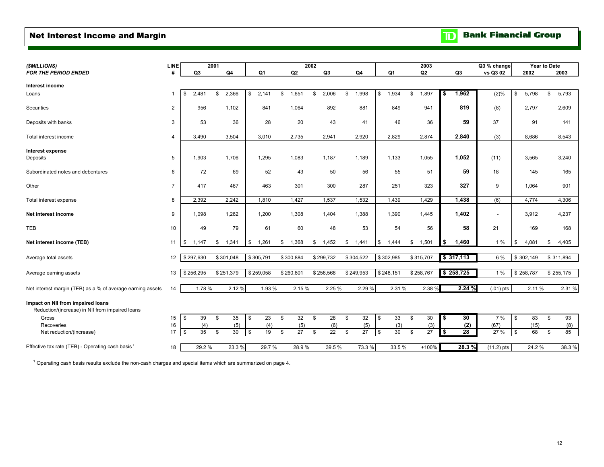#### <span id="page-13-0"></span>Net Interest Income and Margin

**TD** Bank Financial Group

| (\$MILLIONS)                                                                         | LINE           |                | 2001 |           |             |             | 2002 |                |             |             |           | 2003    |               |           | Q3 % change              | Year to Date |           |        |
|--------------------------------------------------------------------------------------|----------------|----------------|------|-----------|-------------|-------------|------|----------------|-------------|-------------|-----------|---------|---------------|-----------|--------------------------|--------------|-----------|--------|
| <b>FOR THE PERIOD ENDED</b>                                                          | #              | Q <sub>3</sub> |      | Q4        | Q1          | Q2          |      | Q <sub>3</sub> | Q4          | Q1          |           | Q2      |               | Q3        | vs Q3 02                 | 2002         | 2003      |        |
| Interest income                                                                      |                |                |      |           |             |             |      |                |             |             |           |         |               |           |                          |              |           |        |
| Loans                                                                                |                | \$<br>2,481    | \$   | 2,366     | \$<br>2,141 | \$<br>1,651 | \$   | 2,006          | \$<br>1,998 | \$<br>1,934 | \$        | 1,897   | \$            | 1,962     | (2)%                     | \$<br>5,798  | \$        | 5,793  |
| Securities                                                                           | $\overline{2}$ | 956            |      | 1,102     | 841         | 1,064       |      | 892            | 881         | 849         |           | 941     |               | 819       | (8)                      | 2,797        |           | 2,609  |
| Deposits with banks                                                                  | 3              | 53             |      | 36        | 28          | 20          |      | 43             | 41          | 46          |           | 36      |               | 59        | 37                       | 91           |           | 141    |
| Total interest income                                                                | $\overline{4}$ | 3,490          |      | 3,504     | 3,010       | 2,735       |      | 2,941          | 2,920       | 2,829       |           | 2,874   |               | 2,840     | (3)                      | 8,686        |           | 8,543  |
| <b>Interest expense</b><br>Deposits                                                  | 5              | 1.903          |      | 1,706     | 1,295       | 1.083       |      | 1,187          | 1,189       | 1,133       |           | 1,055   |               | 1,052     | (11)                     | 3,565        |           | 3,240  |
| Subordinated notes and debentures                                                    | 6              | 72             |      | 69        | 52          | 43          |      | 50             | 56          | 55          |           | 51      |               | 59        | 18                       | 145          |           | 165    |
| Other                                                                                | $\overline{7}$ | 417            |      | 467       | 463         | 301         |      | 300            | 287         | 251         |           | 323     |               | 327       | 9                        | 1,064        |           | 901    |
| Total interest expense                                                               | 8              | 2,392          |      | 2,242     | 1,810       | 1,427       |      | 1,537          | 1,532       | 1,439       |           | 1,429   |               | 1,438     | (6)                      | 4,774        |           | 4,306  |
| Net interest income                                                                  | 9              | 1,098          |      | 1,262     | 1,200       | 1,308       |      | 1,404          | 1,388       | 1,390       |           | 1,445   |               | 1,402     | $\overline{\phantom{a}}$ | 3,912        |           | 4,237  |
| <b>TEB</b>                                                                           | 10             | 49             |      | 79        | 61          | 60          |      | 48             | 53          | 54          |           | 56      |               | 58        | 21                       | 169          |           | 168    |
| Net interest income (TEB)                                                            | 11             | \$<br>1,147    |      | \$ 1,341  | 1,261<br>\$ | \$<br>1,368 | \$   | 1,452          | \$<br>1,441 | \$<br>1,444 | \$        | 1,501   | \$            | 1,460     | 1%                       | \$<br>4,081  | \$        | 4,405  |
| Average total assets                                                                 | 12             | \$297,630      |      | \$301,048 | \$305,791   | \$300,884   |      | \$299,732      | \$304,522   | \$302,985   | \$315,707 |         |               | \$317,113 | 6 %                      | \$302,149    | \$311,894 |        |
| Average earning assets                                                               | 13             | \$256,295      |      | \$251,379 | \$259,058   | \$260,801   |      | \$256,568      | \$249,953   | \$248,151   | \$258,767 |         |               | \$258,725 | 1%                       | \$258,787    | \$255,175 |        |
| Net interest margin (TEB) as a % of average earning assets                           | 14             | 1.78 %         |      | 2.12 %    | 1.93 %      | 2.15 %      |      | 2.25 %         | 2.29 %      | 2.31 %      |           | 2.38 %  |               | 2.24%     | $(.01)$ pts              | 2.11%        |           | 2.31 % |
| Impact on NII from impaired loans<br>Reduction/(increase) in NII from impaired loans |                |                |      |           |             |             |      |                |             |             |           |         |               |           |                          |              |           |        |
| Gross                                                                                | 15             | 39<br>\$       | \$   | 35        | \$<br>23    | \$<br>32    | \$   | 28             | \$<br>32    | \$<br>33    | \$        | 30      | \$            | 30        | 7 %                      | \$<br>83     | \$        | 93     |
| Recoveries                                                                           | 16             | (4)            |      | (5)       | (4)         | (5)         |      | (6)            | (5)         | (3)         |           | (3)     |               | (2)       | (67)                     | (15)         |           | (8)    |
| Net reduction/(increase)                                                             | 17             | 35<br>\$       | \$   | 30        | 19<br>\$    | \$<br>27    | \$   | 22             | \$<br>27    | \$<br>30    | \$        | 27      | $\frac{1}{2}$ | 28        | 27 %                     | \$<br>68     | \$        | 85     |
| Effective tax rate (TEB) - Operating cash basis <sup>1</sup>                         | 18             | 29.2%          |      | 23.3%     | 29.7%       | 28.9%       |      | 39.5%          | 73.3%       | 33.5%       |           | $+100%$ |               | 28.3%     | $(11.2)$ pts             | 24.2 %       |           | 38.3%  |

 $1$  Operating cash basis results exclude the non-cash charges and special items which are summarized on page 4.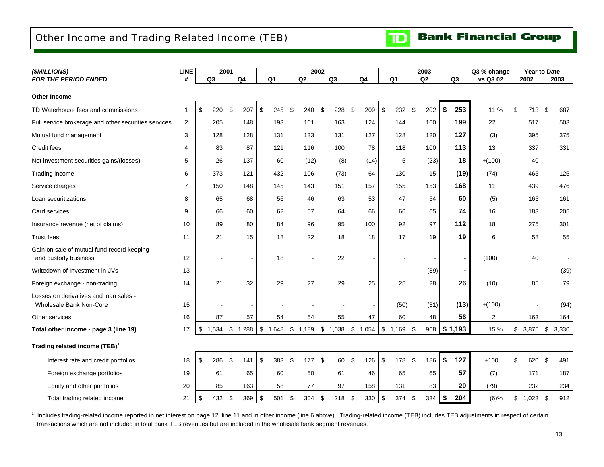### <span id="page-14-0"></span>Other Income and Trading Related Income (TEB)



| (\$MILLIONS)                                                       | <b>LINE</b>  |             | 2001        |                |                |           | 2002 |                       |                |          |                |     | 2003     |             | Q3 % change |                         | <b>Year to Date</b> |                         |                |
|--------------------------------------------------------------------|--------------|-------------|-------------|----------------|----------------|-----------|------|-----------------------|----------------|----------|----------------|-----|----------|-------------|-------------|-------------------------|---------------------|-------------------------|----------------|
| <b>FOR THE PERIOD ENDED</b>                                        | #            | Q3          | Q4          |                | Q <sub>1</sub> | Q2        |      | Q3                    | Q4             |          | Q <sub>1</sub> |     | Q2       | Q3          | vs Q3 02    |                         | 2002                |                         | 2003           |
| <b>Other Income</b>                                                |              |             |             |                |                |           |      |                       |                |          |                |     |          |             |             |                         |                     |                         |                |
| TD Waterhouse fees and commissions                                 | $\mathbf{1}$ | 220<br>\$   | \$<br>207   | \$             | 245            | \$<br>240 | \$   | 228                   | \$<br>209      | <b>S</b> | 232            | \$  | 202      | \$<br>253   | 11 %        | $\sqrt[6]{\frac{1}{2}}$ | 713                 | -\$                     | 687            |
| Full service brokerage and other securities services               | 2            | 205         | 148         |                | 193            | 161       |      | 163                   | 124            |          | 144            |     | 160      | 199         | 22          |                         | 517                 |                         | 503            |
| Mutual fund management                                             | 3            | 128         | 128         |                | 131            | 133       |      | 131                   | 127            |          | 128            |     | 120      | 127         | (3)         |                         | 395                 |                         | 375            |
| Credit fees                                                        | 4            | 83          | 87          |                | 121            | 116       |      | 100                   | 78             |          | 118            |     | 100      | 113         | 13          |                         | 337                 |                         | 331            |
| Net investment securities gains/(losses)                           | 5            | 26          | 137         |                | 60             | (12)      |      | (8)                   | (14)           |          | 5              |     | (23)     | 18          | $+(100)$    |                         | 40                  |                         | $\blacksquare$ |
| Trading income                                                     | 6            | 373         | 121         |                | 432            | 106       |      | (73)                  | 64             |          | 130            |     | 15       | (19)        | (74)        |                         | 465                 |                         | 126            |
| Service charges                                                    | 7            | 150         | 148         |                | 145            | 143       |      | 151                   | 157            |          | 155            |     | 153      | 168         | 11          |                         | 439                 |                         | 476            |
| Loan securitizations                                               | 8            | 65          | 68          |                | 56             | 46        |      | 63                    | 53             |          | 47             |     | 54       | 60          | (5)         |                         | 165                 |                         | 161            |
| Card services                                                      | 9            | 66          | 60          |                | 62             | 57        |      | 64                    | 66             |          | 66             |     | 65       | 74          | 16          |                         | 183                 |                         | 205            |
| Insurance revenue (net of claims)                                  | 10           | 89          | 80          |                | 84             | 96        |      | 95                    | 100            |          | 92             |     | 97       | 112         | 18          |                         | 275                 |                         | 301            |
| <b>Trust fees</b>                                                  | 11           | 21          | 15          |                | 18             | 22        |      | 18                    | 18             |          | 17             |     | 19       | 19          | 6           |                         | 58                  |                         | 55             |
| Gain on sale of mutual fund record keeping<br>and custody business | 12           |             |             | $\blacksquare$ | 18             |           |      | 22                    |                |          |                |     |          |             | (100)       |                         | 40                  |                         | $\blacksquare$ |
| Writedown of Investment in JVs                                     | 13           |             |             |                |                |           |      |                       |                |          |                |     | (39)     |             |             |                         |                     |                         | (39)           |
| Foreign exchange - non-trading                                     | 14           | 21          | 32          |                | 29             | 27        |      | 29                    | 25             |          | 25             |     | 28       | 26          | (10)        |                         | 85                  |                         | 79             |
| Losses on derivatives and loan sales -<br>Wholesale Bank Non-Core  | 15           |             |             |                |                |           |      |                       |                |          | (50)           |     | (31)     | (13)        | $+(100)$    |                         |                     |                         | (94)           |
| Other services                                                     | 16           | 87          | 57          |                | 54             | 54        |      | 55                    | 47             |          | 60             |     | 48       | 56          | 2           |                         | 163                 |                         | 164            |
| Total other income - page 3 (line 19)                              | 17           | 1,534<br>\$ | \$1,288     | \$             | 1,648          | \$1,189   | \$   | $1,038$ \$ $1,054$ \$ |                |          | $1,169$ \$     |     |          | 968 \$1,193 | 15 %        | \$                      | 3,875               | $\sqrt[6]{\frac{1}{2}}$ | 3,330          |
| Trading related income (TEB) <sup>1</sup>                          |              |             |             |                |                |           |      |                       |                |          |                |     |          |             |             |                         |                     |                         |                |
| Interest rate and credit portfolios                                | 18           | \$<br>286   | \$<br>141   | \$             | 383            | \$<br>177 | \$   | 60                    | \$<br>126      | \$       | 178            | \$  | 186      | \$<br>127   | $+100$      | $\sqrt[6]{\frac{1}{2}}$ | 620                 | \$                      | 491            |
| Foreign exchange portfolios                                        | 19           | 61          | 65          |                | 60             | 50        |      | 61                    | 46             |          | 65             |     | 65       | 57          | (7)         |                         | 171                 |                         | 187            |
| Equity and other portfolios                                        | 20           | 85          | 163         |                | 58             | 77        |      | 97                    | 158            |          | 131            |     | 83       | 20          | (79)        |                         | 232                 |                         | 234            |
| Total trading related income                                       | 21           | 432<br>\$   | - \$<br>369 | \$             | 501            | \$<br>304 | \$   | 218                   | \$<br>$330$ \$ |          | 374            | -\$ | $334$ \$ | 204         | $(6)$ %     | \$                      | 1,023               | \$                      | 912            |

<sup>1</sup> Includes trading-related income reported in net interest on page 12, line 11 and in other income (line 6 above). Trading-related income (TEB) includes TEB adjustments in respect of certain transactions which are not included in total bank TEB revenues but are included in the wholesale bank segment revenues.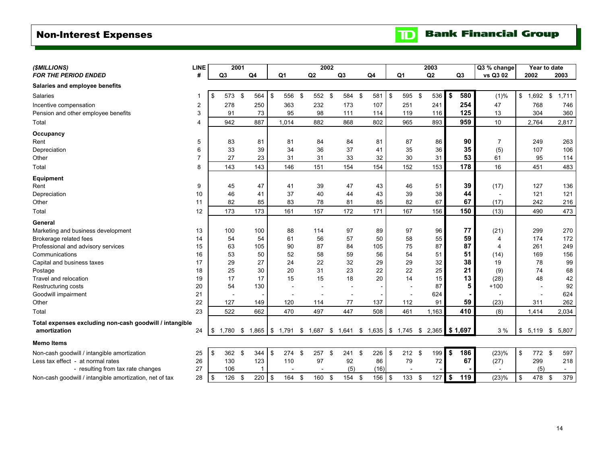### <span id="page-15-0"></span>Non-Interest Expenses

 $\mathbf{D}$ 

| (\$MILLIONS)                                            | <b>LINE</b>    |                | 2001 |                          |                                                                         |    | 2002   |     |        |                |            |                | 2003  |          |                | Q3 % change              |                                  | Year to date |
|---------------------------------------------------------|----------------|----------------|------|--------------------------|-------------------------------------------------------------------------|----|--------|-----|--------|----------------|------------|----------------|-------|----------|----------------|--------------------------|----------------------------------|--------------|
| <b>FOR THE PERIOD ENDED</b>                             | #              | Q <sub>3</sub> |      | Q <sub>4</sub>           | Q <sub>1</sub>                                                          | Q2 |        | Q3  |        | Q <sub>4</sub> |            | Q <sub>1</sub> | Q2    |          | Q <sub>3</sub> | vs Q3 02                 | 2002                             | 2003         |
| Salaries and employee benefits                          |                |                |      |                          |                                                                         |    |        |     |        |                |            |                |       |          |                |                          |                                  |              |
| Salaries                                                | 1              | \$<br>573      | \$   | 564                      | \$<br>556 \$                                                            |    | 552 \$ |     | 584 \$ | 581            | $\sqrt{3}$ | 595            | \$    | 536      | \$<br>580      | (1)%                     | \$<br>$1,692$ \$                 | 1,711        |
| Incentive compensation                                  | $\overline{2}$ | 278            |      | 250                      | 363                                                                     |    | 232    | 173 |        | 107            |            | 251            |       | 241      | 254            | 47                       | 768                              | 746          |
| Pension and other employee benefits                     | 3              | 91             |      | 73                       | 95                                                                      |    | 98     | 111 |        | 114            |            | 119            |       | 116      | 125            | 13                       | 304                              | 360          |
| Total                                                   | 4              | 942            |      | 887                      | 1,014                                                                   |    | 882    | 868 |        | 802            |            | 965            |       | 893      | 959            | 10                       | 2,764                            | 2,817        |
| Occupancy                                               |                |                |      |                          |                                                                         |    |        |     |        |                |            |                |       |          |                |                          |                                  |              |
| Rent                                                    | 5              | 83             |      | 81                       | 81                                                                      |    | 84     | 84  |        | 81             |            | 87             |       | 86       | 90             | $\overline{7}$           | 249                              | 263          |
| Depreciation                                            | 6              | 33             |      | 39                       | 34                                                                      |    | 36     | 37  |        | 41             |            | 35             |       | 36       | 35             | (5)                      | 107                              | 106          |
| Other                                                   | 7              | 27             |      | 23                       | 31                                                                      |    | 31     | 33  |        | 32             |            | 30             |       | 31       | 53             | 61                       | 95                               | 114          |
| Total                                                   | 8              | 143            |      | 143                      | 146                                                                     |    | 151    | 154 |        | 154            |            | 152            |       | 153      | 178            | 16                       | 451                              | 483          |
| <b>Equipment</b>                                        |                |                |      |                          |                                                                         |    |        |     |        |                |            |                |       |          |                |                          |                                  |              |
| Rent                                                    | 9              | 45             |      | 47                       | 41                                                                      |    | 39     | 47  |        | 43             |            | 46             |       | 51       | 39             | (17)                     | 127                              | 136          |
| Depreciation                                            | 10             | 46             |      | 41                       | 37                                                                      |    | 40     | 44  |        | 43             |            | 39             |       | 38       | 44             | $\overline{a}$           | 121                              | 121          |
| Other                                                   | 11             | 82             |      | 85                       | 83                                                                      |    | 78     | 81  |        | 85             |            | 82             |       | 67       | 67             | (17)                     | 242                              | 216          |
| Total                                                   | 12             | 173            |      | 173                      | 161                                                                     |    | 157    | 172 |        | 171            |            | 167            |       | 156      | 150            | (13)                     | 490                              | 473          |
| General                                                 |                |                |      |                          |                                                                         |    |        |     |        |                |            |                |       |          |                |                          |                                  |              |
| Marketing and business development                      | 13             | 100            |      | 100                      | 88                                                                      |    | 114    | 97  |        | 89             |            | 97             |       | 96       | 77             | (21)                     | 299                              | 270          |
| Brokerage related fees                                  | 14             | 54             |      | 54                       | 61                                                                      |    | 56     | 57  |        | 50             |            | 58             |       | 55       | 59             | 4                        | 174                              | 172          |
| Professional and advisory services                      | 15             | 63             |      | 105                      | 90                                                                      |    | 87     | 84  |        | 105            |            | 75             |       | 87       | 87             | 4                        | 261                              | 249          |
| Communications                                          | 16             | 53             |      | 50                       | 52                                                                      |    | 58     | 59  |        | 56             |            | 54             |       | 51       | 51             | (14)                     | 169                              | 156          |
| Capital and business taxes                              | 17             | 29             |      | 27                       | 24                                                                      |    | 22     | 32  |        | 29             |            | 29             |       | 32       | 38             | 19                       | 78                               | 99           |
| Postage                                                 | 18             | 25             |      | 30                       | 20                                                                      |    | 31     | 23  |        | 22             |            | 22             |       | 25       | 21             | (9)                      | 74                               | 68           |
| Travel and relocation                                   | 19             | 17             |      | 17                       | 15                                                                      |    | 15     | 18  |        | 20             |            | 14             |       | 15       | 13             | (28)                     | 48                               | 42           |
| Restructuring costs                                     | 20             | 54             |      | 130                      |                                                                         |    |        | ٠   |        |                |            | $\overline{a}$ |       | 87       | 5              | $+100$                   |                                  | 92           |
| Goodwill impairment                                     | 21             |                |      | $\overline{\phantom{a}}$ |                                                                         |    |        | L.  |        |                |            | $\overline{a}$ |       | 624      |                | $\overline{\phantom{a}}$ |                                  | 624          |
| Other                                                   | 22             | 127            |      | 149                      | 120                                                                     |    | 114    | 77  |        | 137            |            | 112            |       | 91       | 59             | (23)                     | 311                              | 262          |
| Total                                                   | 23             | 522            |      | 662                      | 470                                                                     |    | 497    | 447 |        | 508            |            | 461            | 1,163 |          | 410            | (8)                      | 1,414                            | 2,034        |
| Total expenses excluding non-cash goodwill / intangible |                |                |      |                          |                                                                         |    |        |     |        |                |            |                |       |          |                |                          |                                  |              |
| amortization                                            | 24             | \$<br>1,780    |      |                          | $$1,865$ $$1,791$ $$1,687$ $$1,641$ $$1,635$ $$1,745$ $$2,365$ $$1,697$ |    |        |     |        |                |            |                |       |          |                | 3%                       | $$5,119$ \$                      | 5,807        |
| <b>Memo Items</b>                                       |                |                |      |                          |                                                                         |    |        |     |        |                |            |                |       |          |                |                          |                                  |              |
| Non-cash goodwill / intangible amortization             | 25             | \$<br>362      | \$   | 344                      | \$<br>274                                                               | \$ | 257 \$ | 241 | \$     | 226            | \$         | $212$ \$       |       | 199      | \$<br>186      | (23)%                    | \$<br>772 \$                     | 597          |
| Less tax effect - at normal rates                       | 26             | 130            |      | 123                      | 110                                                                     |    | 97     | 92  |        | 86             |            | 79             |       | 72       | 67             | (27)                     | 299                              | 218          |
| - resulting from tax rate changes                       | 27             | 106            |      | $\mathbf{1}$             |                                                                         |    |        | (5) |        | (16)           |            |                |       |          |                |                          | (5)                              | $\sim$       |
| Non-cash goodwill / intangible amortization, net of tax | 28             | \$<br>126      | \$   | 220                      | \$<br>164 \$                                                            |    | 160 \$ |     | 154 \$ | $156$ \$       |            | 133S           |       | $127$ \$ | 119            | (23)%                    | $\boldsymbol{\mathsf{S}}$<br>478 | 379<br>\$    |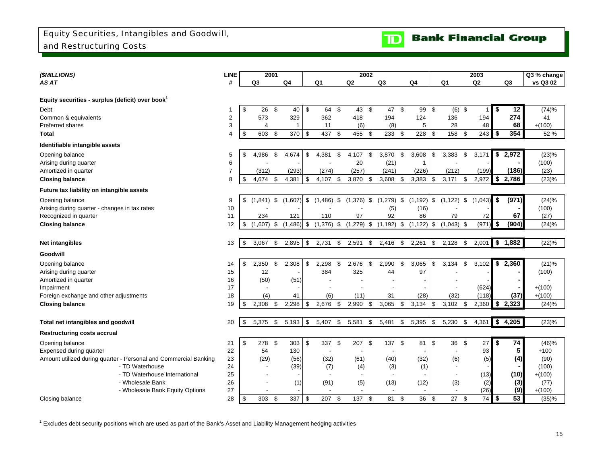

<span id="page-16-0"></span>

| (\$MILLIONS)                                                     | <b>LINE</b>    |                    | 2001           |                |            |              |               |                          | 2002 |                          |     |               |                         |                | 2003           |             |                     | Q3 % change |
|------------------------------------------------------------------|----------------|--------------------|----------------|----------------|------------|--------------|---------------|--------------------------|------|--------------------------|-----|---------------|-------------------------|----------------|----------------|-------------|---------------------|-------------|
| AS AT                                                            | #              | Q <sub>3</sub>     |                | Q <sub>4</sub> |            | Q1           |               | Q2                       |      | Q3                       |     | Q4            |                         | Q <sub>1</sub> | Q <sub>2</sub> |             | Q3                  | vs Q3 02    |
|                                                                  |                |                    |                |                |            |              |               |                          |      |                          |     |               |                         |                |                |             |                     |             |
| Equity securities - surplus (deficit) over book <sup>1</sup>     |                |                    |                |                |            |              |               |                          |      |                          |     |               |                         |                |                |             |                     |             |
| Debt                                                             | 1              | \$<br>26           | \$             | 40             | \$         | 64           | $\mathsf{\$}$ | 43                       | \$   | 47                       | -\$ | 99            | \$                      | $(6)$ \$       |                |             | 12                  | (74)%       |
| Common & equivalents                                             | $\overline{2}$ | 573                |                | 329            |            | 362          |               | 418                      |      | 194                      |     | 124           |                         | 136            | 194            |             | 274                 | 41          |
| Preferred shares                                                 | 3              | $\overline{4}$     |                | 1              |            | 11           |               | (6)                      |      | (8)                      |     | 5             |                         | 28             | 48             |             | 68                  | $+(100)$    |
| Total                                                            | 4              | \$<br>603          | \$             | 370            | $\sqrt{3}$ | 437          | \$            | 455 \$                   |      | 233 \$                   |     | 228           | \$                      | 158            | \$<br>243      | \$          | 354                 | 52 %        |
| Identifiable intangible assets                                   |                |                    |                |                |            |              |               |                          |      |                          |     |               |                         |                |                |             |                     |             |
| Opening balance                                                  | 5              | \$<br>4,986        | \$             | 4,674          | \$         | 4,381        | \$            | 4,107                    | \$   | 3,870                    | \$  | 3,608         | \$                      | 3,383          | \$<br>3,171    | \$          | 2,972               | (23)%       |
| Arising during quarter                                           | 6              |                    |                |                |            |              |               | 20                       |      | (21)                     |     | -1            |                         |                |                |             |                     | (100)       |
| Amortized in quarter                                             | $\overline{7}$ | (312)              |                | (293)          |            | (274)        |               | (257)                    |      | (241)                    |     | (226)         |                         | (212)          | (199)          |             | (186)               | (23)        |
| <b>Closing balance</b>                                           | 8              | \$<br>4.674        | $\mathfrak{L}$ | 4,381          | -\$        | 4.107        | \$            | 3,870                    | \$   | 3,608                    | \$  | 3,383         | -\$                     | 3,171          | \$<br>2,972    | \$          | 2,786               | (23)%       |
| Future tax liability on intangible assets                        |                |                    |                |                |            |              |               |                          |      |                          |     |               |                         |                |                |             |                     |             |
| Opening balance                                                  | 9              | \$<br>$(1,841)$ \$ |                | (1,607)        | \$         | $(1,486)$ \$ |               | $(1,376)$ \$             |      | $(1,279)$ \$             |     | (1, 192)      | \$                      | $(1, 122)$ \$  | (1,043)        | \$          | (971)               | (24)%       |
| Arising during quarter - changes in tax rates                    | 10             |                    |                |                |            |              |               |                          |      | (5)                      |     | (16)          |                         |                |                |             |                     | (100)       |
| Recognized in quarter                                            | 11             | 234                |                | 121            |            | 110          |               | 97                       |      | 92                       |     | 86            |                         | 79             | 72             |             | 67                  | (27)        |
| <b>Closing balance</b>                                           | 12             | \$<br>(1.607)      | \$             | $(1,486)$ \$   |            | $(1,376)$ \$ |               | $(1,279)$ \$             |      | $(1, 192)$ \$            |     | $(1, 122)$ \$ |                         | $(1,043)$ \$   | (971)          | \$          | (904)               | (24)%       |
|                                                                  |                |                    |                |                |            |              |               |                          |      |                          |     |               |                         |                |                |             |                     |             |
| Net intangibles                                                  | 13             | \$<br>3.067        | \$             | 2,895          | l \$       | 2,731        | \$            | 2,591                    | \$   | 2,416                    | -\$ | 2,261         | \$                      | 2,128          | \$<br>2.001    |             | $\frac{1}{2}$ 1,882 | (22)%       |
| Goodwill                                                         |                |                    |                |                |            |              |               |                          |      |                          |     |               |                         |                |                |             |                     |             |
| Opening balance                                                  | 14             | \$<br>2,350        | \$             | 2,308          | - \$       | 2,298        | \$            | 2,676                    | \$   | 2,990                    | \$  | 3,065         | \$                      | 3,134          | \$<br>3.102    | \$          | 2,360               | (21)%       |
| Arising during quarter                                           | 15             | 12                 |                |                |            | 384          |               | 325                      |      | 44                       |     | 97            |                         |                |                |             |                     | (100)       |
| Amortized in quarter                                             | 16             | (50)               |                | (51)           |            |              |               |                          |      |                          |     |               |                         |                |                |             |                     |             |
| Impairment                                                       | 17             |                    |                |                |            |              |               |                          |      |                          |     |               |                         |                | (624)          |             |                     | $+(100)$    |
| Foreign exchange and other adjustments                           | 18             | (4)                |                | 41             |            | (6)          |               | (11)                     |      | 31                       |     | (28)          |                         | (32)           | (118)          |             | (37)                | $+(100)$    |
| <b>Closing balance</b>                                           | 19             | \$<br>2,308        | \$             | 2,298          | - \$       | 2,676        | \$            | 2,990                    | \$   | 3,065                    | S.  | 3,134         | -\$                     | $3,102$ \$     | 2,360          | $$^{\circ}$ | 2,323               | (24)%       |
|                                                                  |                |                    |                |                |            |              |               |                          |      |                          |     |               |                         |                |                |             |                     |             |
| Total net intangibles and goodwill                               | 20             | \$<br>5,375        | \$             | 5,193          | <b>S</b>   | 5,407        | \$            | 5,581                    | \$   | 5,481                    | \$  | 5,395         | \$                      | 5,230          | \$<br>4,361    |             | \$4,205             | (23)%       |
| <b>Restructuring costs accrual</b>                               |                |                    |                |                |            |              |               |                          |      |                          |     |               |                         |                |                |             |                     |             |
| Opening balance                                                  | 21             | \$<br>278          | \$             | 303            | l \$       | 337          | \$            | 207                      | \$   | 137 \$                   |     | 81            | $\sqrt[6]{\frac{1}{2}}$ | 36 \$          | 27             | \$          | 74                  | (46)%       |
| Expensed during quarter                                          | 22             | 54                 |                | 130            |            |              |               |                          |      |                          |     |               |                         |                | 93             |             | 5                   | $+100$      |
| Amount utilized during quarter - Personal and Commercial Banking | 23             | (29)               |                | (56)           |            | (32)         |               | (61)                     |      | (40)                     |     | (32)          |                         | (6)            | (5)            |             | (4)                 | (90)        |
| - TD Waterhouse                                                  | 24             |                    |                | (39)           |            | (7)          |               | (4)                      |      | (3)                      |     | (1)           |                         |                |                |             |                     | (100)       |
| - TD Waterhouse International                                    | 25             |                    |                |                |            |              |               | $\overline{\phantom{a}}$ |      | $\overline{\phantom{a}}$ |     |               |                         |                | (13)           |             | (10)                | $+(100)$    |
| - Wholesale Bank                                                 | 26             |                    |                | (1)            |            | (91)         |               | (5)                      |      | (13)                     |     | (12)          |                         | (3)            | (2)            |             | (3)                 | (77)        |
| - Wholesale Bank Equity Options                                  | 27             |                    |                |                |            |              |               |                          |      |                          |     |               |                         |                | (26)           |             | (9)                 | $+(100)$    |
| Closing balance                                                  | 28             | \$<br>303          | \$             | 337            | l \$       | 207          | \$            | 137                      | \$   | 81                       | -\$ | 36            | $\sqrt{3}$              | 27S            | 74             | $\sqrt{3}$  | 53                  | (35)%       |

 $^1$  Excludes debt security positions which are used as part of the Bank's Asset and Liability Management hedging activities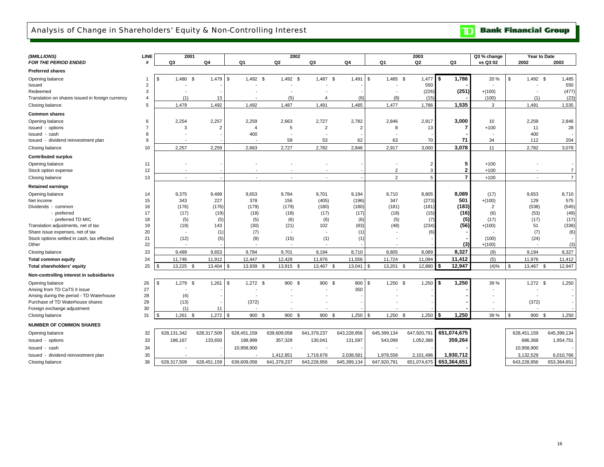#### <span id="page-17-0"></span>Analysis of Change in Shareholders' Equity & Non-Controlling Interest

**TD** Bank Financial Group

| (\$MILLIONS)                                     | LINE           | 2001                        |                |                          |                | 2002           |                         |                        | 2003         |                | Q3 % change              | Year to Date             |                |
|--------------------------------------------------|----------------|-----------------------------|----------------|--------------------------|----------------|----------------|-------------------------|------------------------|--------------|----------------|--------------------------|--------------------------|----------------|
| FOR THE PERIOD ENDED                             | #              | Q3                          | Q4             | Q1                       | Q2             | Q3             | Q4                      | Q1                     | Q2           | Q3             | vs Q3 02                 | 2002                     | 2003           |
| <b>Preferred shares</b>                          |                |                             |                |                          |                |                |                         |                        |              |                |                          |                          |                |
| Opening balance                                  |                | 1,480<br>\$                 | 1,479<br>\$    | 1,492 \$<br>\$           | 1,492 \$       | 1,487 \$       | 1,491                   | 1,485 \$<br>\$         | 1,477        | 1,786<br>\$    | 20%                      | \$<br>1,492 \$           | 1,485          |
| Issued                                           | $\overline{2}$ |                             |                |                          |                |                |                         |                        | 550          |                |                          |                          | 550            |
| Redeemed                                         | 3              |                             |                |                          |                |                |                         |                        | (226)        | (251)          | $+(100)$                 | $\overline{\phantom{a}}$ | (477)          |
| Translation on shares issued in foreign currency | $\overline{4}$ | (1)                         | 13             |                          | (5)            | $\overline{4}$ | (6)                     | (8)                    | (15)         |                | (100)                    | (1)                      | (23)           |
| Closing balance                                  | 5              | 1,479                       | 1,492          | 1,492                    | 1,487          | 1,491          | 1,485                   | 1,477                  | 1,786        | 1,535          | 3                        | 1,491                    | 1,535          |
| <b>Common shares</b>                             |                |                             |                |                          |                |                |                         |                        |              |                |                          |                          |                |
| Opening balance                                  | 6              | 2,254                       | 2,257          | 2,259                    | 2.663          | 2,727          | 2,782                   | 2.846                  | 2,917        | 3,000          | 10                       | 2,259                    | 2,846          |
| Issued - options                                 | $\overline{7}$ | 3                           | $\overline{2}$ | $\overline{4}$           | 5              | $\overline{2}$ | $\overline{2}$          | 8                      | 13           | 7              | $+100$                   | 11                       | 28             |
| Issued - cash                                    | 8              |                             |                | 400                      |                |                |                         |                        |              |                |                          | 400                      |                |
| Issued - dividend reinvestment plan              | 9              |                             |                |                          | 59             | 53             | 62                      | 63                     | 70           | 71             | 34                       | 112                      | 204            |
| Closing balance                                  | 10             | 2,257                       | 2.259          | 2,663                    | 2,727          | 2,782          | 2,846                   | 2,917                  | 3,000        | 3.078          | 11                       | 2,782                    | 3,078          |
| <b>Contributed surplus</b>                       |                |                             |                |                          |                |                |                         |                        |              |                |                          |                          |                |
| Opening balance                                  | 11             |                             |                |                          |                |                |                         |                        |              | 5              | $+100$                   |                          |                |
| Stock option expense                             | 12             |                             |                |                          |                |                |                         | $\overline{2}$         |              | $\mathbf{2}$   | $+100$                   |                          | $\overline{7}$ |
| Closing balance                                  | 13             | $\overline{\phantom{a}}$    |                | $\overline{\phantom{a}}$ |                |                |                         | 2                      | 5            | $\overline{7}$ | $+100$                   | $\overline{\phantom{a}}$ | $\overline{7}$ |
| <b>Retained earnings</b>                         |                |                             |                |                          |                |                |                         |                        |              |                |                          |                          |                |
| Opening balance                                  | 14             | 9,375                       | 9,489          | 9,653                    | 9,784          | 9,701          | 9,194                   | 8,710                  | 8,805        | 8.089          | (17)                     | 9,653                    | 8,710          |
| Net income                                       | 15             | 343                         | 227            | 378                      | 156            | (405)          | (196)                   | 347                    | (273)        | 501            | $+(100)$                 | 129                      | 575            |
| Dividends - common                               | 16             | (176)                       | (176)          | (179)                    | (179)          | (180)          | (180)                   | (181)                  | (181)        | (183)          | $\overline{2}$           | (538)                    | (545)          |
| - preferred                                      | 17             | (17)                        | (19)           | (18)                     | (18)           | (17)           | (17)                    | (18)                   | (15)         | (16)           | (6)                      | (53)                     | (49)           |
| - preferred TD MIC                               | 18             | (5)                         | (5)            | (5)                      | (6)            | (6)            | (6)                     | (5)                    | (7)          | (5)            | (17)                     | (17)                     | (17)           |
| Translation adjustments, net of tax              | 19             | (19)                        | 143            | (30)                     | (21)           | 102            | (83)                    | (48)                   | (234)        | (56)           | $+(100)$                 | 51                       | (338)          |
| Share issue expenses, net of tax                 | 20             |                             | (1)            | (7)                      |                |                | (1)                     |                        | 6)           |                |                          | (7)                      | (6)            |
| Stock options settled in cash, tax effected      | 21             | (12)                        | (5)            | (8)                      | (15)           | (1)            | (1)                     |                        |              |                | (100)                    | (24)                     |                |
| Other                                            | 22             |                             |                |                          |                |                |                         |                        |              | (3)            | $+(100)$                 |                          | (3)            |
| Closing balance                                  | 23             | 9,489                       | 9,653          | 9,784                    | 9,701          | 9,194          | 8,710                   | 8,805                  | 8,089        | 8,327          | (9)                      | 9,194                    | 8,327          |
| <b>Total common equity</b>                       | 24             | 11,746                      | 11,912         | 12,447                   | 12,428         | 11,976         | 11,556                  | 11,724                 | 11,094       | 11,412         | (5)                      | 11,976                   | 11,412         |
| Total shareholders' equity                       | 25             | 13,225 \$<br>$\mathfrak{s}$ | 13,404         | 13,939<br>\$             | 13,915<br>- \$ | 13,467<br>- \$ | <b>S</b><br>$13,041$ \$ | 13,201                 | \$<br>12,880 | 12,947<br>\$   | (4)%                     | \$<br>13,467 \$          | 12,947         |
| Non-controlling interest in subsidiaries         |                |                             |                |                          |                |                |                         |                        |              |                |                          |                          |                |
| Opening balance                                  | 26             | 1,279 \$<br>\$              | 1,261          | $1,272$ \$<br>\$         | 900 \$         | 900 \$         | 900                     | $1,250$ \$<br>-9       | 1,250        | 1,250<br>\$    | 39 %                     | $1,272$ \$               | 1,250          |
| Arising from TD CaTS II issue                    | 27             |                             |                |                          |                |                | 350                     |                        |              |                |                          |                          |                |
| Arising during the period - TD Waterhouse        | 28             | (4)                         |                |                          |                |                |                         |                        |              |                |                          | $\overline{\phantom{a}}$ |                |
| Purchase of TD Waterhouse shares                 | 29             | (13)                        |                | (372)                    |                |                |                         |                        |              |                |                          | (372)                    |                |
| Foreign exchange adjustment                      | 30             | (1)                         | 11             |                          |                |                |                         |                        |              |                | $\overline{\phantom{0}}$ |                          |                |
| Closing balance                                  | 31             | $1,261$ \$<br>$\mathcal{F}$ | 1,272          | \$<br>900 \$             | 900 \$         | 900 \$         | 1,250                   | $1,250$ \$<br><b>S</b> | 1,250        | 1,250<br>\$    | 39 %                     | \$<br>900 \$             | 1,250          |
| <b>NUMBER OF COMMON SHARES</b>                   |                |                             |                |                          |                |                |                         |                        |              |                |                          |                          |                |
| Opening balance                                  | 32             | 628,131,342                 | 628,317,509    | 628,451,159              | 639,609,058    | 641,379,237    | 643,228,956             | 645,399,134            | 647,920,791  | 651,074,675    |                          | 628,451,159              | 645,399,134    |
| Issued - options                                 | 33             | 186,167                     | 133,650        | 198,999                  | 357,328        | 130,041        | 131,597                 | 543,099                | 1,052,388    | 359,264        |                          | 686,368                  | 1,954,751      |
| Issued - cash                                    | 34             |                             |                | 10,958,900               |                |                |                         |                        |              |                |                          | 10,958,900               |                |
| Issued - dividend reinvestment plan              | 35             |                             |                |                          | 1,412,851      | 1,719,678      | 2,038,581               | 1,978,558              | 2,101,496    | 1,930,712      |                          | 3,132,529                | 6,010,766      |
| Closing balance                                  | 36             | 628,317,509                 | 628,451,159    | 639,609,058              | 641,379,237    | 643,228,956    | 645,399,134             | 647,920,791            | 651,074,675  | 653,364,651    |                          | 643,228,956              | 653,364,651    |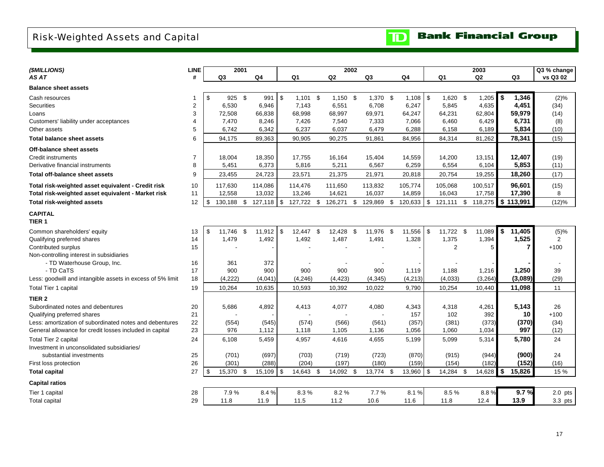### <span id="page-18-0"></span>Risk-Weighted Assets and Capital

| <b>TD</b> Bank Financial Group |
|--------------------------------|
|--------------------------------|

| (\$MILLIONS)                                               | <b>LINE</b>    | 2001           |      |         |                |            |      | 2002           |                |               |      |                | 2003          |     |         | Q3 % change    |
|------------------------------------------------------------|----------------|----------------|------|---------|----------------|------------|------|----------------|----------------|---------------|------|----------------|---------------|-----|---------|----------------|
| AS AT                                                      | #              | Q <sub>3</sub> |      | Q4      |                | Q1         |      | Q2             | Q <sub>3</sub> | Q4            |      | Q1             | Q2            |     | Q3      | vs Q3 02       |
| <b>Balance sheet assets</b>                                |                |                |      |         |                |            |      |                |                |               |      |                |               |     |         |                |
| Cash resources                                             |                | \$<br>925 \$   |      | 991 \$  |                | $1,101$ \$ |      | $1,150$ \$     | 1,370 \$       | $1,108$ \$    |      | $1,620$ \$     | 1,205         | -\$ | 1,346   | $(2)\%$        |
| <b>Securities</b>                                          | $\overline{2}$ | 6,530          |      | 6,946   |                | 7,143      |      | 6,551          | 6,708          | 6,247         |      | 5,845          | 4,635         |     | 4,451   | (34)           |
| Loans                                                      | 3              | 72,508         |      | 66,838  |                | 68,998     |      | 68,997         | 69,971         | 64,247        |      | 64,231         | 62,804        |     | 59,979  | (14)           |
| Customers' liability under acceptances                     | $\overline{4}$ | 7,470          |      | 8,246   |                | 7,426      |      | 7,540          | 7,333          | 7,066         |      | 6,460          | 6,429         |     | 6,731   | (8)            |
| Other assets                                               | 5              | 6,742          |      | 6,342   |                | 6,237      |      | 6,037          | 6,479          | 6,288         |      | 6,158          | 6,189         |     | 5,834   | (10)           |
| <b>Total balance sheet assets</b>                          | 6              | 94,175         |      | 89,363  |                | 90,905     |      | 90,275         | 91,861         | 84,956        |      | 84,314         | 81,262        |     | 78,341  | (15)           |
| Off-balance sheet assets                                   |                |                |      |         |                |            |      |                |                |               |      |                |               |     |         |                |
| Credit instruments                                         | 7              | 18,004         |      | 18,350  |                | 17,755     |      | 16,164         | 15,404         | 14,559        |      | 14,200         | 13,151        |     | 12,407  | (19)           |
| Derivative financial instruments                           | 8              | 5,451          |      | 6,373   |                | 5,816      |      | 5,211          | 6,567          | 6,259         |      | 6,554          | 6,104         |     | 5,853   | (11)           |
| Total off-balance sheet assets                             | 9              | 23,455         |      | 24,723  |                | 23,571     |      | 21,375         | 21,971         | 20,818        |      | 20,754         | 19,255        |     | 18,260  | (17)           |
| Total risk-weighted asset equivalent - Credit risk         | 10             | 117,630        |      | 114,086 |                | 114,476    |      | 111,650        | 113,832        | 105,774       |      | 105,068        | 100,517       |     | 96,601  | (15)           |
| Total risk-weighted asset equivalent - Market risk         | 11             | 12,558         |      | 13,032  |                | 13,246     |      | 14,621         | 16,037         | 14,859        |      | 16,043         | 17,758        |     | 17,390  | 8              |
| <b>Total risk-weighted assets</b>                          | 12             | \$<br>130,188  | \$   | 127,118 | $\mathfrak{S}$ | 127,722    | - \$ | 126,271        | \$<br>129,869  | \$<br>120,633 | \$   | 121,111        | \$<br>118,275 | \$  | 113,991 | (12)%          |
| <b>CAPITAL</b><br>TIER <sub>1</sub>                        |                |                |      |         |                |            |      |                |                |               |      |                |               |     |         |                |
| Common shareholders' equity                                | 13             | \$<br>11,746   | - \$ | 11,912  | \$             | 12,447 \$  |      | 12,428 \$      | 11,976 \$      | 11,556        | l \$ | 11,722 \$      | 11,089        | \$  | 11,405  | (5)%           |
| Qualifying preferred shares                                | 14             | 1,479          |      | 1,492   |                | 1,492      |      | 1,487          | 1,491          | 1,328         |      | 1,375          | 1,394         |     | 1,525   | $\overline{2}$ |
| Contributed surplus                                        | 15             |                |      |         |                |            |      |                |                |               |      | $\overline{2}$ | 5             |     | 7       | $+100$         |
| Non-controlling interest in subsidiaries                   |                |                |      |         |                |            |      |                |                |               |      |                |               |     |         |                |
| - TD Waterhouse Group, Inc.                                | 16             | 361            |      | 372     |                |            |      |                |                |               |      |                |               |     |         |                |
| - TD CaTS                                                  | 17             | 900            |      | 900     |                | 900        |      | 900            | 900            | 1,119         |      | 1,188          | 1,216         |     | 1,250   | 39             |
| Less: goodwill and intangible assets in excess of 5% limit | 18             | (4, 222)       |      | (4,041) |                | (4, 246)   |      | (4, 423)       | (4, 345)       | (4,213)       |      | (4,033)        | (3, 264)      |     | (3,089) | (29)           |
| Total Tier 1 capital                                       | 19             | 10,264         |      | 10,635  |                | 10,593     |      | 10,392         | 10,022         | 9,790         |      | 10,254         | 10,440        |     | 11,098  | 11             |
| TIER <sub>2</sub>                                          |                |                |      |         |                |            |      |                |                |               |      |                |               |     |         |                |
| Subordinated notes and debentures                          | 20             | 5,686          |      | 4,892   |                | 4,413      |      | 4,077          | 4,080          | 4,343         |      | 4,318          | 4,261         |     | 5,143   | 26             |
| Qualifying preferred shares                                | 21             |                |      |         |                |            |      | $\overline{a}$ |                | 157           |      | 102            | 392           |     | 10      | $+100$         |
| Less: amortization of subordinated notes and debentures    | 22             | (554)          |      | (545)   |                | (574)      |      | (566)          | (561)          | (357)         |      | (381)          | (373)         |     | (370)   | (34)           |
| General allowance for credit losses included in capital    | 23             | 976            |      | 1,112   |                | 1,118      |      | 1,105          | 1,136          | 1,056         |      | 1,060          | 1,034         |     | 997     | (12)           |
| Total Tier 2 capital                                       | 24             | 6,108          |      | 5,459   |                | 4,957      |      | 4,616          | 4,655          | 5,199         |      | 5,099          | 5,314         |     | 5,780   | 24             |
| Investment in unconsolidated subsidiaries/                 |                |                |      |         |                |            |      |                |                |               |      |                |               |     |         |                |
| substantial investments                                    | 25             | (701)          |      | (697)   |                | (703)      |      | (719)          | (723)          | (870)         |      | (915)          | (944)         |     | (900)   | 24             |
| First loss protection                                      | 26             | (301)          |      | (288)   |                | (204)      |      | (197)          | (180)          | (159)         |      | (154)          | (182)         |     | (152)   | (16)           |
| <b>Total capital</b>                                       | 27             | \$<br>15,370   | \$   | 15,109  | $\mathfrak{S}$ | 14,643     | - \$ | 14,092 \$      | 13,774 \$      | 13,960        | \$   | 14,284 \$      | 14,628        | \$  | 15,826  | 15 %           |
| <b>Capital ratios</b>                                      |                |                |      |         |                |            |      |                |                |               |      |                |               |     |         |                |
| Tier 1 capital                                             | 28             | 7.9%           |      | 8.4%    |                | 8.3%       |      | 8.2%           | 7.7%           | 8.1%          |      | 8.5%           | 8.8%          |     | 9.7%    | $2.0$ pts      |
| Total capital                                              | 29             | 11.8           |      | 11.9    |                | 11.5       |      | 11.2           | 10.6           | 11.6          |      | 11.8           | 12.4          |     | 13.9    | 3.3 pts        |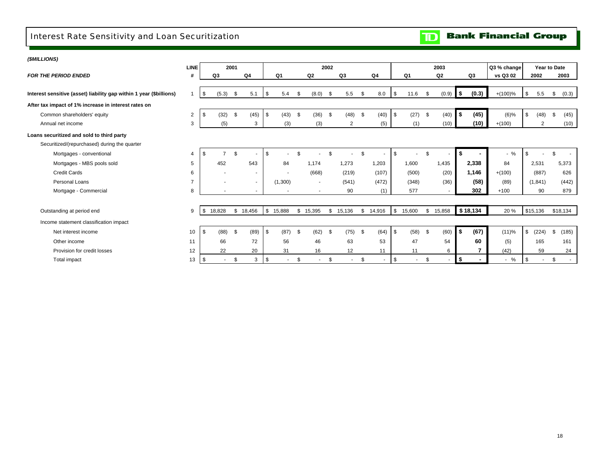#### <span id="page-19-0"></span>Interest Rate Sensitivity and Loan Securitization

## **TD** Bank Financial Group

| (\$MILLIONS)                                                        |                |              |                |                          |            |      |          |      |                |      |                          |              |              |          |          |             |            |                          |              |
|---------------------------------------------------------------------|----------------|--------------|----------------|--------------------------|------------|------|----------|------|----------------|------|--------------------------|--------------|--------------|----------|----------|-------------|------------|--------------------------|--------------|
|                                                                     | <b>LINE</b>    |              | 2001           |                          |            |      |          | 2002 |                |      |                          |              | 2003         |          |          | Q3 % change |            |                          | Year to Date |
| <b>FOR THE PERIOD ENDED</b>                                         | #              | Q3           |                | Q4                       | Q1         |      | Q2       |      | Q3             |      | Q <sub>4</sub>           | Q1           | Q2           |          | Q3       | vs Q3 02    |            | 2002                     | 2003         |
|                                                                     |                |              |                |                          |            |      |          |      |                |      |                          |              |              |          |          |             |            |                          |              |
| Interest sensitive (asset) liability gap within 1 year (\$billions) |                | \$           | (5.3)          | \$<br>5.1                | \$<br>5.4  | \$   | (8.0)    | \$   | 5.5            | - \$ | 8.0                      | \$<br>11.6   | \$<br>(0.9)  | l \$     | (0.3)    | $+(100)\%$  | \$         | 5.5                      | \$<br>(0.3)  |
| After tax impact of 1% increase in interest rates on                |                |              |                |                          |            |      |          |      |                |      |                          |              |              |          |          |             |            |                          |              |
| Common shareholders' equity                                         | 2              | -\$          | (32)           | \$<br>(45)               | \$<br>(43) | - \$ | (36)     | - \$ | (48)           | \$   | (40)                     | \$<br>(27)   | \$<br>(40)   | \$       | (45)     | $(6)\%$     | \$         | (48)                     | \$<br>(45)   |
| Annual net income                                                   | 3              |              | (5)            | 3                        | (3)        |      | (3)      |      | $\overline{2}$ |      | (5)                      | (1)          | (10)         |          | (10)     | $+(100)$    |            | $\overline{2}$           | (10)         |
| Loans securitized and sold to third party                           |                |              |                |                          |            |      |          |      |                |      |                          |              |              |          |          |             |            |                          |              |
| Securitized/(repurchased) during the quarter                        |                |              |                |                          |            |      |          |      |                |      |                          |              |              |          |          |             |            |                          |              |
| Mortgages - conventional                                            | 4              |              | $\overline{ }$ | \$                       | \$         |      |          |      |                | £.   |                          | \$           | \$           | S.       |          | $-$ %       | \$         |                          | £.           |
| Mortgages - MBS pools sold                                          | 5              |              | 452            | 543                      | 84         |      | 1.174    |      | 1,273          |      | 1,203                    | 1,600        | 1,435        |          | 2,338    | 84          |            | 2,531                    | 5,373        |
| <b>Credit Cards</b>                                                 | 6              |              |                | $\overline{\phantom{a}}$ |            |      | (668)    |      | (219)          |      | (107)                    | (500)        | (20)         |          | 1,146    | $+(100)$    |            | (887)                    | 626          |
| Personal Loans                                                      | $\overline{7}$ |              |                | $\sim$                   | (1,300)    |      | $\sim$   |      | (541)          |      | (472)                    | (348)        | (36)         |          | (58)     | (89)        |            | (1, 841)                 | (442)        |
| Mortgage - Commercial                                               | 8              |              |                | $\sim$                   |            |      | $\sim$   |      | 90             |      | (1)                      | 577          | $\sim$       |          | 302      | $+100$      |            | 90                       | 879          |
|                                                                     |                |              |                |                          |            |      |          |      |                |      |                          |              |              |          |          |             |            |                          |              |
| Outstanding at period end                                           | 9              | \$<br>18,828 |                | \$18,456                 | \$15,888   |      | \$15,395 | \$   | 15,136         |      | \$14,916                 | \$<br>15,600 | \$<br>15,858 |          | \$18,134 | 20 %        | \$15,136   |                          | \$18,134     |
| Income statement classification impact                              |                |              |                |                          |            |      |          |      |                |      |                          |              |              |          |          |             |            |                          |              |
| Net interest income                                                 | 10             | \$           | (88)           | \$<br>(89)               | \$<br>(87) | - \$ | (62)     | \$   | (75)           | - \$ | (64)                     | \$<br>(58)   | \$<br>(60)   | <b>S</b> | (67)     | (11)%       | $\sqrt{3}$ | (224)                    | \$<br>(185)  |
| Other income                                                        | 11             |              | 66             | 72                       | 56         |      | 46       |      | 63             |      | 53                       | 47           | 54           |          | 60       | (5)         |            | 165                      | 161          |
| Provision for credit losses                                         | 12             |              | 22             | 20                       | 31         |      | 16       |      | 12             |      | 11                       | 11           | 6            |          | 7        | (42)        |            | 59                       | 24           |
| Total impact                                                        | 13             | \$           |                | \$<br>3                  | \$         | \$   |          | \$   | $\blacksquare$ | \$   | $\overline{\phantom{a}}$ | \$           | \$           | \$       |          | $-$ %       | \$         | $\overline{\phantom{a}}$ | \$<br>$\sim$ |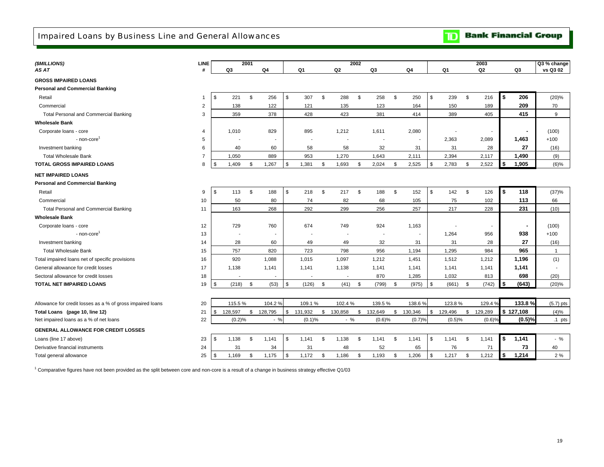|  |  | <b>Bank Financial Group</b> |  |
|--|--|-----------------------------|--|
|--|--|-----------------------------|--|

<span id="page-20-0"></span>

| (\$MILLIONS)                                               | <b>LINE</b>    |                          | 2001 |                |                |                | 2002 |                |              |           |               |                    | 2003      |    |           | Q3 % change    |
|------------------------------------------------------------|----------------|--------------------------|------|----------------|----------------|----------------|------|----------------|--------------|-----------|---------------|--------------------|-----------|----|-----------|----------------|
| AS AT                                                      | #              | Q3                       |      | Q <sub>4</sub> | Q1             | Q <sub>2</sub> |      | Q3             |              | Q4        | Q1            |                    | Q2        |    | Q3        | vs Q3 02       |
| <b>GROSS IMPAIRED LOANS</b>                                |                |                          |      |                |                |                |      |                |              |           |               |                    |           |    |           |                |
| <b>Personal and Commercial Banking</b>                     |                |                          |      |                |                |                |      |                |              |           |               |                    |           |    |           |                |
| Retail                                                     | $\mathbf 1$    | \$<br>221                | S.   | 256            | \$<br>307      | \$<br>288      | \$   | 258            | \$           | 250       | \$<br>239     | \$                 | 216       | s. | 206       | (20)%          |
| Commercial                                                 | $\overline{2}$ | 138                      |      | 122            | 121            | 135            |      | 123            |              | 164       | 150           |                    | 189       |    | 209       | 70             |
| <b>Total Personal and Commercial Banking</b>               | 3              | 359                      |      | 378            | 428            | 423            |      | 381            |              | 414       | 389           |                    | 405       |    | 415       | 9              |
| <b>Wholesale Bank</b>                                      |                |                          |      |                |                |                |      |                |              |           |               |                    |           |    |           |                |
| Corporate loans - core                                     | $\overline{4}$ | 1,010                    |      | 829            | 895            | 1,212          |      | 1,611          |              | 2,080     |               |                    |           |    |           | (100)          |
| - non-core <sup>1</sup>                                    | 5              |                          |      |                |                |                |      |                |              |           | 2,363         |                    | 2,089     |    | 1,463     | $+100$         |
| Investment banking                                         | 6              | 40                       |      | 60             | 58             | 58             |      | 32             |              | 31        | 31            |                    | 28        |    | 27        | (16)           |
| <b>Total Wholesale Bank</b>                                | $\overline{7}$ | 1,050                    |      | 889            | 953            | 1,270          |      | 1,643          |              | 2,111     | 2,394         |                    | 2,117     |    | 1,490     | (9)            |
| <b>TOTAL GROSS IMPAIRED LOANS</b>                          | 8              | \$<br>1,409              | \$   | 1,267          | \$<br>1,381    | \$<br>1,693    | \$   | 2,024          | \$           | 2,525     | \$<br>2,783   | \$                 | 2,522     | \$ | 1,905     | $(6)\%$        |
| <b>NET IMPAIRED LOANS</b>                                  |                |                          |      |                |                |                |      |                |              |           |               |                    |           |    |           |                |
| <b>Personal and Commercial Banking</b>                     |                |                          |      |                |                |                |      |                |              |           |               |                    |           |    |           |                |
| Retail                                                     | 9              | \$<br>113                | \$   | 188            | \$<br>218      | \$<br>217      | \$   | 188            | $\mathbf{s}$ | 152       | \$<br>142     | $\mathbf{\hat{s}}$ | 126       | \$ | 118       | (37)%          |
| Commercial                                                 | 10             | 50                       |      | 80             | 74             | 82             |      | 68             |              | 105       | 75            |                    | 102       |    | 113       | 66             |
| <b>Total Personal and Commercial Banking</b>               | 11             | 163                      |      | 268            | 292            | 299            |      | 256            |              | 257       | 217           |                    | 228       |    | 231       | (10)           |
| <b>Wholesale Bank</b>                                      |                |                          |      |                |                |                |      |                |              |           |               |                    |           |    |           |                |
| Corporate loans - core                                     | 12             | 729                      |      | 760            | 674            | 749            |      | 924            |              | 1,163     |               |                    |           |    |           | (100)          |
| - non-core                                                 | 13             | $\overline{\phantom{a}}$ |      |                | $\blacksquare$ |                |      | $\blacksquare$ |              |           | 1,264         |                    | 956       |    | 938       | $+100$         |
| Investment banking                                         | 14             | 28                       |      | 60             | 49             | 49             |      | 32             |              | 31        | 31            |                    | 28        |    | 27        | (16)           |
| <b>Total Wholesale Bank</b>                                | 15             | 757                      |      | 820            | 723            | 798            |      | 956            |              | 1.194     | 1,295         |                    | 984       |    | 965       | $\overline{1}$ |
| Total impaired loans net of specific provisions            | 16             | 920                      |      | 1.088          | 1,015          | 1,097          |      | 1,212          |              | 1,451     | 1,512         |                    | 1,212     |    | 1,196     | (1)            |
| General allowance for credit losses                        | 17             | 1,138                    |      | 1,141          | 1,141          | 1,138          |      | 1,141          |              | 1.141     | 1,141         |                    | 1,141     |    | 1,141     |                |
| Sectoral allowance for credit losses                       | 18             |                          |      |                |                |                |      | 870            |              | 1,285     | 1,032         |                    | 813       |    | 698       | (20)           |
| <b>TOTAL NET IMPAIRED LOANS</b>                            | 19             | \$<br>(218)              | S.   | (53)           | \$<br>(126)    | \$<br>(41)     | \$   | (799)          | \$           | (975)     | \$<br>(661)   | \$                 | (742)     | \$ | (643)     | (20)%          |
|                                                            |                |                          |      |                |                |                |      |                |              |           |               |                    |           |    |           |                |
| Allowance for credit losses as a % of gross impaired loans | 20             | 115.5%                   |      | 104.2%         | 109.1%         | 102.4%         |      | 139.5%         |              | 138.6%    | 123.8%        |                    | 129.4%    |    | 133.8%    | $(5.7)$ pts    |
| Total Loans (page 10, line 12)                             | 21             | \$<br>128,597            | \$   | 128,795        | \$<br>131,932  | \$<br>130,858  |      | \$132,649      |              | \$130,346 | \$<br>129,496 | \$                 | 129,289   |    | \$127,108 | (4)%           |
| Net impaired loans as a % of net loans                     | 22             | (0.2)%                   |      | $-$ %          | (0.1)%         | $-$ %          |      | (0.6)%         |              | (0.7)%    | (0.5)%        |                    | $(0.6)$ % |    | (0.5)%    | $.1$ pts       |
| <b>GENERAL ALLOWANCE FOR CREDIT LOSSES</b>                 |                |                          |      |                |                |                |      |                |              |           |               |                    |           |    |           |                |
| Loans (line 17 above)                                      | 23             | \$<br>1.138              | \$   | 1.141          | \$<br>1,141    | \$<br>1.138    | S.   | 1.141          | - \$         | 1.141     | \$<br>1.141   | - \$               | 1.141     | \$ | 1,141     | $-$ %          |
| Derivative financial instruments                           | 24             | 31                       |      | 34             | 31             | 48             |      | 52             |              | 65        | 76            |                    | 71        |    | 73        | 40             |
| Total general allowance                                    | 25             | \$<br>1,169              | \$   | 1,175          | \$<br>1,172    | \$<br>1,186    | \$   | 1.193          | - \$         | 1,206     | \$<br>1,217   | \$                 | 1,212     | \$ | 1,214     | 2%             |

<sup>1</sup> Comparative figures have not been provided as the split between core and non-core is a result of a change in business strategy effective Q1/03